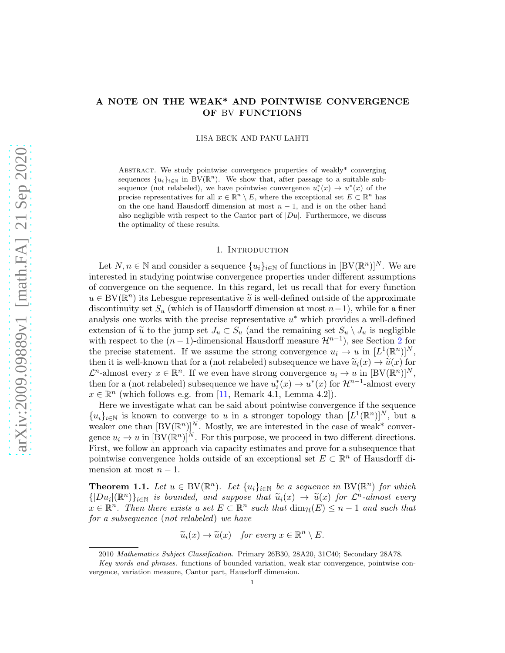# <span id="page-0-1"></span>A NOTE ON THE WEAK\* AND POINTWISE CONVERGENCE OF BV FUNCTIONS

LISA BECK AND PANU LAHTI

ABSTRACT. We study pointwise convergence properties of weakly\* converging sequences  $\{u_i\}_{i\in\mathbb{N}}$  in BV( $\mathbb{R}^n$ ). We show that, after passage to a suitable subsequence (not relabeled), we have pointwise convergence  $u_i^*(x) \to u^*(x)$  of the precise representatives for all  $x \in \mathbb{R}^n \setminus E$ , where the exceptional set  $E \subset \mathbb{R}^n$  has on the one hand Hausdorff dimension at most  $n-1$ , and is on the other hand also negligible with respect to the Cantor part of  $|Du|$ . Furthermore, we discuss the optimality of these results.

#### 1. INTRODUCTION

Let  $N, n \in \mathbb{N}$  and consider a sequence  $\{u_i\}_{i\in\mathbb{N}}$  of functions in  $[BV(\mathbb{R}^n)]^N$ . We are interested in studying pointwise convergence properties under different assumptions of convergence on the sequence. In this regard, let us recall that for every function  $u \in BV(\mathbb{R}^n)$  its Lebesgue representative  $\widetilde{u}$  is well-defined outside of the approximate discontinuity set  $S_u$  (which is of Hausdorff dimension at most  $n-1$ ), while for a finer analysis one works with the precise representative  $u^*$  which provides a well-defined extension of  $\tilde{u}$  to the jump set  $J_u \subset S_u$  (and the remaining set  $S_u \setminus J_u$  is negligible with respect to the  $(n-1)$ -dimensional Hausdorff measure  $\mathcal{H}^{n-1}$ , see Section [2](#page-1-0) for the precise statement. If we assume the strong convergence  $u_i \to u$  in  $[L^1(\mathbb{R}^n)]^N$ , then it is well-known that for a (not relabeled) subsequence we have  $\tilde{u}_i(x) \to \tilde{u}(x)$  for  $\mathcal{L}^n$ -almost every  $x \in \mathbb{R}^n$ . If we even have strong convergence  $u_i \to u$  in  $[BV(\mathbb{R}^n)]^N$ , then for a (not relabeled) subsequence we have  $u_i^*(x) \to u^*(x)$  for  $\mathcal{H}^{n-1}$ -almost every  $x \in \mathbb{R}^n$  (which follows e.g. from [\[11,](#page-20-0) Remark 4.1, Lemma 4.2]).

Here we investigate what can be said about pointwise convergence if the sequence  ${u_i}_{i\in\mathbb{N}}$  is known to converge to u in a stronger topology than  $[L^1(\mathbb{R}^n)]^N$ , but a weaker one than  $[BV(\mathbb{R}^n)]^N$ . Mostly, we are interested in the case of weak\* convergence  $u_i \to u$  in  $[\text{BV}(\mathbb{R}^n)]^N$ . For this purpose, we proceed in two different directions. First, we follow an approach via capacity estimates and prove for a subsequence that pointwise convergence holds outside of an exceptional set  $E \subset \mathbb{R}^n$  of Hausdorff dimension at most  $n-1$ .

<span id="page-0-0"></span>**Theorem 1.1.** Let  $u \in BV(\mathbb{R}^n)$ . Let  $\{u_i\}_{i\in\mathbb{N}}$  be a sequence in BV( $\mathbb{R}^n$ ) for which  $\{ |Du_i|(\mathbb{R}^n)\}_{i\in\mathbb{N}}\}$  is bounded, and suppose that  $\widetilde{u}_i(x) \to \widetilde{u}(x)$  for  $\mathcal{L}^n$ -almost every  $x \in \mathbb{R}^n$ . Then there exists a set  $E \subset \mathbb{R}^n$  such that  $\dim_{\mathcal{H}}(E) \leq n-1$  and such that for a subsequence (not relabeled) we have

 $\widetilde{u}_i(x) \to \widetilde{u}(x)$  for every  $x \in \mathbb{R}^n \setminus E$ .

<sup>2010</sup> Mathematics Subject Classification. Primary 26B30, 28A20, 31C40; Secondary 28A78.

Key words and phrases. functions of bounded variation, weak star convergence, pointwise convergence, variation measure, Cantor part, Hausdorff dimension.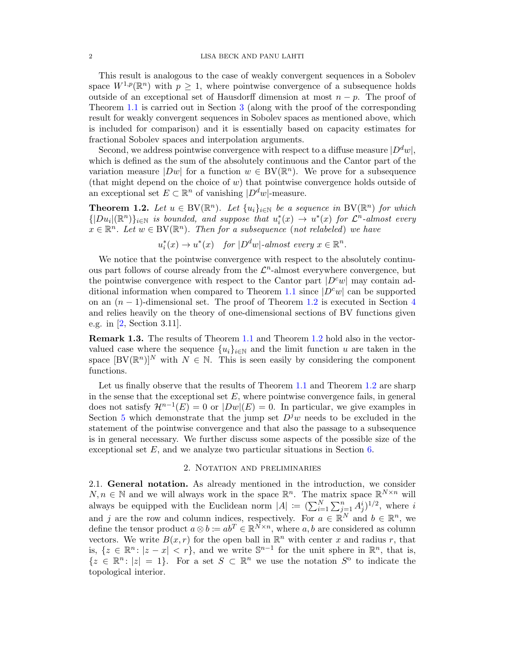<span id="page-1-2"></span>This result is analogous to the case of weakly convergent sequences in a Sobolev space  $W^{1,p}(\mathbb{R}^n)$  with  $p \geq 1$ , where pointwise convergence of a subsequence holds outside of an exceptional set of Hausdorff dimension at most  $n - p$ . The proof of Theorem [1.1](#page-0-0) is carried out in Section [3](#page-6-0) (along with the proof of the corresponding result for weakly convergent sequences in Sobolev spaces as mentioned above, which is included for comparison) and it is essentially based on capacity estimates for fractional Sobolev spaces and interpolation arguments.

Second, we address pointwise convergence with respect to a diffuse measure  $|D^d w|$ , which is defined as the sum of the absolutely continuous and the Cantor part of the variation measure  $|Dw|$  for a function  $w \in BV(\mathbb{R}^n)$ . We prove for a subsequence (that might depend on the choice of  $w$ ) that pointwise convergence holds outside of an exceptional set  $E \subset \mathbb{R}^n$  of vanishing  $|D^d w|$ -measure.

<span id="page-1-1"></span>**Theorem 1.2.** Let  $u \in BV(\mathbb{R}^n)$ . Let  $\{u_i\}_{i\in\mathbb{N}}$  be a sequence in BV( $\mathbb{R}^n$ ) for which  $\{|Du_i|(\mathbb{R}^n)\}_{i\in\mathbb{N}}$  is bounded, and suppose that  $u_i^*(x) \to u^*(x)$  for  $\mathcal{L}^n$ -almost every  $x \in \mathbb{R}^n$ . Let  $w \in BV(\mathbb{R}^n)$ . Then for a subsequence (not relabeled) we have

 $u_i^*(x) \to u^*(x)$  for  $|D^dw|$ -almost every  $x \in \mathbb{R}^n$ .

We notice that the pointwise convergence with respect to the absolutely continuous part follows of course already from the  $\mathcal{L}^n$ -almost everywhere convergence, but the pointwise convergence with respect to the Cantor part  $|D^c w|$  may contain ad-ditional information when compared to Theorem [1.1](#page-0-0) since  $|D^c w|$  can be supported on an  $(n-1)$ -dimensional set. The proof of Theorem [1.2](#page-1-1) is executed in Section [4](#page-10-0) and relies heavily on the theory of one-dimensional sections of BV functions given e.g. in [\[2,](#page-20-1) Section 3.11].

Remark 1.3. The results of Theorem [1.1](#page-0-0) and Theorem [1.2](#page-1-1) hold also in the vectorvalued case where the sequence  $\{u_i\}_{i\in\mathbb{N}}$  and the limit function u are taken in the space  $[BV(\mathbb{R}^n)]^N$  with  $N \in \mathbb{N}$ . This is seen easily by considering the component functions.

Let us finally observe that the results of Theorem [1.1](#page-0-0) and Theorem [1.2](#page-1-1) are sharp in the sense that the exceptional set  $E$ , where pointwise convergence fails, in general does not satisfy  $\mathcal{H}^{n-1}(E) = 0$  or  $|Dw|(E) = 0$ . In particular, we give examples in Section [5](#page-14-0) which demonstrate that the jump set  $D<sup>j</sup>w$  needs to be excluded in the statement of the pointwise convergence and that also the passage to a subsequence is in general necessary. We further discuss some aspects of the possible size of the exceptional set  $E$ , and we analyze two particular situations in Section [6.](#page-17-0)

#### 2. Notation and preliminaries

<span id="page-1-0"></span>2.1. General notation. As already mentioned in the introduction, we consider  $N, n \in \mathbb{N}$  and we will always work in the space  $\mathbb{R}^n$ . The matrix space  $\mathbb{R}^{N \times n}$  will always be equipped with the Euclidean norm  $|A| := (\sum_{i=1}^{N} \sum_{j=1}^{n} A_j^i)^{1/2}$ , where i and j are the row and column indices, respectively. For  $a \in \mathbb{R}^N$  and  $b \in \mathbb{R}^n$ , we define the tensor product  $a \otimes b := ab^T \in \mathbb{R}^{\bar{N} \times n}$ , where  $a, b$  are considered as column vectors. We write  $B(x, r)$  for the open ball in  $\mathbb{R}^n$  with center x and radius r, that is,  $\{z \in \mathbb{R}^n : |z - x| < r\}$ , and we write  $\mathbb{S}^{n-1}$  for the unit sphere in  $\mathbb{R}^n$ , that is,  $\{z \in \mathbb{R}^n : |z| = 1\}.$  For a set  $S \subset \mathbb{R}^n$  we use the notation  $S^{\circ}$  to indicate the topological interior.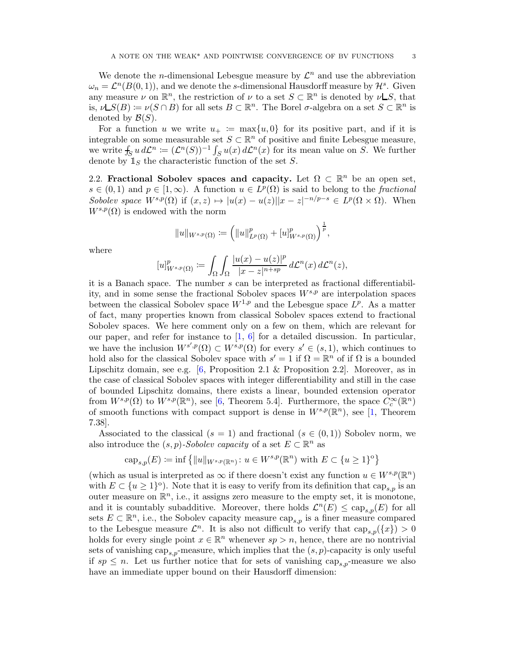<span id="page-2-0"></span>We denote the *n*-dimensional Lebesgue measure by  $\mathcal{L}^n$  and use the abbreviation  $\omega_n = \mathcal{L}^n(B(0,1))$ , and we denote the s-dimensional Hausdorff measure by  $\mathcal{H}^s$ . Given any measure  $\nu$  on  $\mathbb{R}^n$ , the restriction of  $\nu$  to a set  $S \subset \mathbb{R}^n$  is denoted by  $\nu \mathsf{L}S$ , that is,  $\nu \mathsf{L}S(B) \coloneqq \nu(S \cap B)$  for all sets  $B \subset \mathbb{R}^n$ . The Borel  $\sigma$ -algebra on a set  $S \subset \mathbb{R}^n$  is denoted by  $\mathcal{B}(S)$ .

For a function u we write  $u_{+} := \max\{u, 0\}$  for its positive part, and if it is integrable on some measurable set  $S \subset \mathbb{R}^n$  of positive and finite Lebesgue measure, we write  $f_S u d\mathcal{L}^n := (\mathcal{L}^n(S))^{-1} \int_S u(x) d\mathcal{L}^n(x)$  for its mean value on S. We further denote by  $\mathbb{1}_S$  the characteristic function of the set S.

2.2. Fractional Sobolev spaces and capacity. Let  $\Omega \subset \mathbb{R}^n$  be an open set,  $s \in (0,1)$  and  $p \in [1,\infty)$ . A function  $u \in L^p(\Omega)$  is said to belong to the fractional Sobolev space  $W^{s,p}(\Omega)$  if  $(x, z) \mapsto |u(x) - u(z)||x - z|^{-n/p-s} \in L^p(\Omega \times \Omega)$ . When  $W^{s,p}(\Omega)$  is endowed with the norm

$$
||u||_{W^{s,p}(\Omega)} := (||u||_{L^p(\Omega)}^p + [u]_{W^{s,p}(\Omega)}^p)^{\frac{1}{p}},
$$

where

$$
[u]_{W^{s,p}(\Omega)}^p := \int_{\Omega} \int_{\Omega} \frac{|u(x) - u(z)|^p}{|x - z|^{n+sp}} d\mathcal{L}^n(x) d\mathcal{L}^n(z),
$$

it is a Banach space. The number s can be interpreted as fractional differentiability, and in some sense the fractional Sobolev spaces  $W^{s,p}$  are interpolation spaces between the classical Sobolev space  $W^{1,p}$  and the Lebesgue space  $L^p$ . As a matter of fact, many properties known from classical Sobolev spaces extend to fractional Sobolev spaces. We here comment only on a few on them, which are relevant for our paper, and refer for instance to  $\left[1, 6\right]$  for a detailed discussion. In particular, we have the inclusion  $W^{s',p}(\Omega) \subset W^{s,p}(\Omega)$  for every  $s' \in (s,1)$ , which continues to hold also for the classical Sobolev space with  $s' = 1$  if  $\Omega = \mathbb{R}^n$  of if  $\Omega$  is a bounded Lipschitz domain, see e.g.  $[6,$  Proposition 2.1 & Proposition 2.2. Moreover, as in the case of classical Sobolev spaces with integer differentiability and still in the case of bounded Lipschitz domains, there exists a linear, bounded extension operator from  $W^{s,p}(\Omega)$  to  $W^{s,p}(\mathbb{R}^n)$ , see [\[6,](#page-20-3) Theorem 5.4]. Furthermore, the space  $C_c^{\infty}(\mathbb{R}^n)$ of smooth functions with compact support is dense in  $W^{s,p}(\mathbb{R}^n)$ , see [\[1,](#page-20-2) Theorem 7.38].

Associated to the classical  $(s = 1)$  and fractional  $(s \in (0, 1))$  Sobolev norm, we also introduce the  $(s, p)$ -Sobolev capacity of a set  $E \subset \mathbb{R}^n$  as

$$
\operatorname{cap}_{s,p}(E) \coloneqq \inf \left\{ ||u||_{W^{s,p}(\mathbb{R}^n)} \colon u \in W^{s,p}(\mathbb{R}^n) \text{ with } E \subset \{u \ge 1\}^{\circ} \right\}
$$

(which as usual is interpreted as  $\infty$  if there doesn't exist any function  $u \in W^{s,p}(\mathbb{R}^n)$ with  $E \subset \{u \geq 1\}^{\circ}$ ). Note that it is easy to verify from its definition that  $\text{cap}_{s,p}$  is an outer measure on  $\mathbb{R}^n$ , i.e., it assigns zero measure to the empty set, it is monotone, and it is countably subadditive. Moreover, there holds  $\mathcal{L}^n(E) \leq \text{cap}_{s,p}(E)$  for all sets  $E \subset \mathbb{R}^n$ , i.e., the Sobolev capacity measure cap<sub>s,p</sub> is a finer measure compared to the Lebesgue measure  $\mathcal{L}^n$ . It is also not difficult to verify that  $\text{cap}_{s,p}(\{x\}) > 0$ holds for every single point  $x \in \mathbb{R}^n$  whenever  $sp > n$ , hence, there are no nontrivial sets of vanishing cap<sub>s,p</sub>-measure, which implies that the  $(s, p)$ -capacity is only useful if  $sp \leq n$ . Let us further notice that for sets of vanishing cap<sub>s,p</sub>-measure we also have an immediate upper bound on their Hausdorff dimension: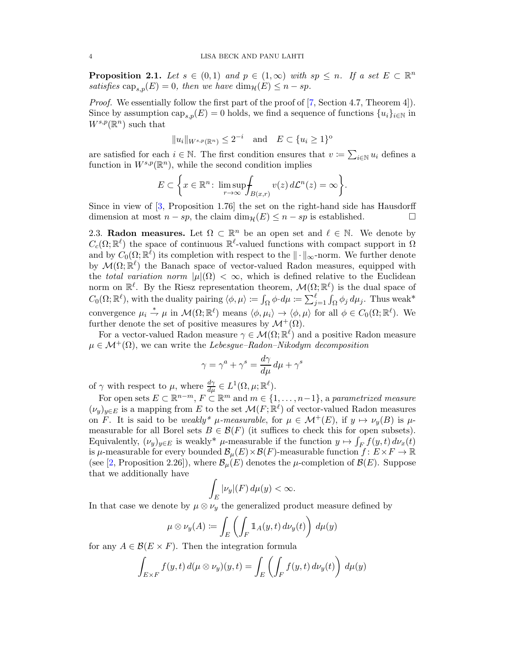<span id="page-3-1"></span><span id="page-3-0"></span>**Proposition 2.1.** Let  $s \in (0,1)$  and  $p \in (1,\infty)$  with  $sp \leq n$ . If a set  $E \subset \mathbb{R}^n$ satisfies  $\text{cap}_{s,n}(E) = 0$ , then we have  $\dim_{\mathcal{H}}(E) \leq n - sp$ .

Proof. We essentially follow the first part of the proof of [\[7,](#page-20-4) Section 4.7, Theorem 4]). Since by assumption  $\text{cap}_{s,p}(E) = 0$  holds, we find a sequence of functions  $\{u_i\}_{i\in\mathbb{N}}$  in  $W^{s,p}(\mathbb{R}^n)$  such that

$$
||u_i||_{W^{s,p}(\mathbb{R}^n)} \le 2^{-i} \quad \text{and} \quad E \subset \{u_i \ge 1\}^{\text{o}}
$$

are satisfied for each  $i \in \mathbb{N}$ . The first condition ensures that  $v := \sum_{i \in \mathbb{N}} u_i$  defines a function in  $W^{s,p}(\mathbb{R}^n)$ , while the second condition implies

$$
E \subset \bigg\{ x \in \mathbb{R}^n \colon \limsup_{r \to \infty} \int_{B(x,r)} v(z) d\mathcal{L}^n(z) = \infty \bigg\}.
$$

Since in view of [\[3,](#page-20-5) Proposition 1.76] the set on the right-hand side has Hausdorff dimension at most  $n - sp$ , the claim  $\dim_{\mathcal{H}}(E) \leq n - sp$  is established.

2.3. Radon measures. Let  $\Omega \subset \mathbb{R}^n$  be an open set and  $\ell \in \mathbb{N}$ . We denote by  $C_c(\Omega;\mathbb{R}^{\ell})$  the space of continuous  $\mathbb{R}^{\ell}$ -valued functions with compact support in  $\Omega$ and by  $C_0(\Omega;\mathbb{R}^{\ell})$  its completion with respect to the  $\|\cdot\|_{\infty}$ -norm. We further denote by  $\mathcal{M}(\Omega;\mathbb{R}^{\ell})$  the Banach space of vector-valued Radon measures, equipped with the total variation norm  $|\mu|(\Omega) < \infty$ , which is defined relative to the Euclidean norm on  $\mathbb{R}^{\ell}$ . By the Riesz representation theorem,  $\mathcal{M}(\Omega;\mathbb{R}^{\ell})$  is the dual space of  $C_0(\Omega;\mathbb{R}^{\ell})$ , with the duality pairing  $\langle \phi, \mu \rangle := \int_{\Omega} \phi \cdot d\mu := \sum_{j=1}^{\ell} \int_{\Omega} \phi_j d\mu_j$ . Thus weak\* convergence  $\mu_i \stackrel{*}{\rightharpoondown} \mu$  in  $\mathcal{M}(\Omega;\mathbb{R}^{\ell})$  means  $\langle \phi, \mu_i \rangle \to \langle \phi, \mu \rangle$  for all  $\phi \in C_0(\Omega;\mathbb{R}^{\ell})$ . We further denote the set of positive measures by  $\mathcal{M}^+(\Omega)$ .

For a vector-valued Radon measure  $\gamma \in \mathcal{M}(\Omega;\mathbb{R}^{\ell})$  and a positive Radon measure  $\mu \in \mathcal{M}^+(\Omega)$ , we can write the Lebesgue–Radon–Nikodym decomposition

$$
\gamma = \gamma^a + \gamma^s = \frac{d\gamma}{d\mu} \, d\mu + \gamma^s
$$

of  $\gamma$  with respect to  $\mu$ , where  $\frac{d\gamma}{d\mu} \in L^1(\Omega, \mu; \mathbb{R}^{\ell}).$ 

For open sets  $E \subset \mathbb{R}^{n-m}$ ,  $F \subset \mathbb{R}^m$  and  $m \in \{1, \ldots, n-1\}$ , a parametrized measure  $(\nu_y)_{y \in E}$  is a mapping from E to the set  $\mathcal{M}(F; \mathbb{R}^{\ell})$  of vector-valued Radon measures on F. It is said to be weakly\*  $\mu$ -measurable, for  $\mu \in \mathcal{M}^+(E)$ , if  $y \mapsto \nu_y(B)$  is  $\mu$ measurable for all Borel sets  $B \in \mathcal{B}(F)$  (it suffices to check this for open subsets). Equivalently,  $(\nu_y)_{y \in E}$  is weakly\*  $\mu$ -measurable if the function  $y \mapsto \int_F f(y, t) d\nu_x(t)$ is  $\mu$ -measurable for every bounded  $\mathcal{B}_{\mu}(E) \times \mathcal{B}(F)$ -measurable function  $f: E \times F \to \mathbb{R}$ (see [\[2,](#page-20-1) Proposition 2.26]), where  $\mathcal{B}_{\mu}(E)$  denotes the  $\mu$ -completion of  $\mathcal{B}(E)$ . Suppose that we additionally have

$$
\int_{E} |\nu_{y}|(F) d\mu(y) < \infty.
$$

In that case we denote by  $\mu \otimes \nu_y$  the generalized product measure defined by

$$
\mu \otimes \nu_y(A) := \int_E \left( \int_F \mathbb{1}_A(y, t) \, d\nu_y(t) \right) \, d\mu(y)
$$

for any  $A \in \mathcal{B}(E \times F)$ . Then the integration formula

$$
\int_{E \times F} f(y, t) d(\mu \otimes \nu_y)(y, t) = \int_E \left( \int_F f(y, t) d\nu_y(t) \right) d\mu(y)
$$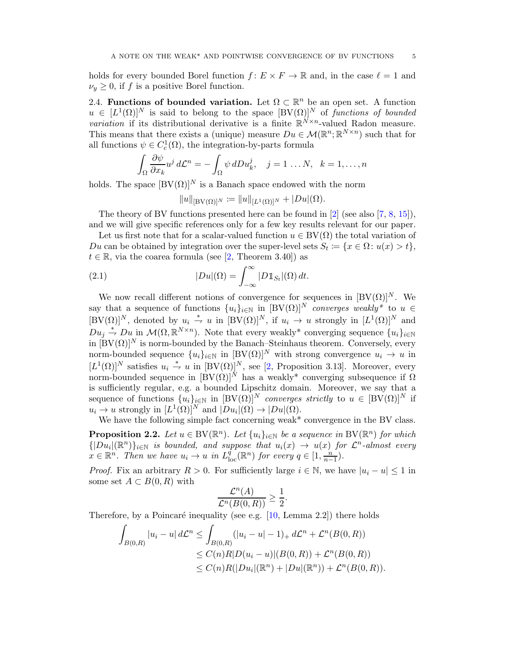<span id="page-4-2"></span>holds for every bounded Borel function  $f: E \times F \to \mathbb{R}$  and, in the case  $\ell = 1$  and  $\nu_y \geq 0$ , if f is a positive Borel function.

2.4. Functions of bounded variation. Let  $\Omega \subset \mathbb{R}^n$  be an open set. A function  $u \in [L^1(\Omega)]^N$  is said to belong to the space  $[BV(\Omega)]^N$  of functions of bounded *variation* if its distributional derivative is a finite  $\mathbb{R}^{N \times n}$ -valued Radon measure. This means that there exists a (unique) measure  $Du \in \mathcal{M}(\mathbb{R}^n;\mathbb{R}^{N\times n})$  such that for all functions  $\psi \in C_c^1(\Omega)$ , the integration-by-parts formula

$$
\int_{\Omega} \frac{\partial \psi}{\partial x_k} u^j d\mathcal{L}^n = -\int_{\Omega} \psi \, dD u_k^j, \quad j = 1 \dots N, \quad k = 1, \dots, n
$$

holds. The space  $[BV(\Omega)]^N$  is a Banach space endowed with the norm

<span id="page-4-1"></span>
$$
||u||_{[BV(\Omega)]^N} := ||u||_{[L^1(\Omega)]^N} + |Du|(\Omega).
$$

The theory of BV functions presented here can be found in [\[2\]](#page-20-1) (see also [\[7,](#page-20-4) [8,](#page-20-6) [15\]](#page-21-0)), and we will give specific references only for a few key results relevant for our paper.

Let us first note that for a scalar-valued function  $u \in BV(\Omega)$  the total variation of Du can be obtained by integration over the super-level sets  $S_t := \{x \in \Omega : u(x) > t\},\$  $t \in \mathbb{R}$ , via the coarea formula (see [\[2,](#page-20-1) Theorem 3.40]) as

(2.1) 
$$
|Du|(\Omega) = \int_{-\infty}^{\infty} |D1\!\!1_{S_t}|(\Omega) dt.
$$

We now recall different notions of convergence for sequences in  $[BV(\Omega)]^N$ . We say that a sequence of functions  $\{u_i\}_{i\in\mathbb{N}}$  in  $[BV(\Omega)]^N$  converges weakly\* to  $u \in$  $[BV(\Omega)]^N$ , denoted by  $u_i \stackrel{*}{\rightharpoondown} u$  in  $[BV(\Omega)]^N$ , if  $u_i \rightharpoondown u$  strongly in  $[L^1(\Omega)]^N$  and  $Du_j \stackrel{*}{\rightharpoondown} Du$  in  $\mathcal{M}(\Omega,\mathbb{R}^{N\times n})$ . Note that every weakly\* converging sequence  $\{u_i\}_{i\in\mathbb{N}}$ in  $[BV(\Omega)]^N$  is norm-bounded by the Banach–Steinhaus theorem. Conversely, every norm-bounded sequence  ${u_i}_{i\in\mathbb{N}}$  in  $[BV(\Omega)]^N$  with strong convergence  $u_i \to u$  in  $[L^1(\Omega)]^N$  satisfies  $u_i \stackrel{*}{\rightharpoondown} u$  in  $[BV(\Omega)]^N$ , see [\[2,](#page-20-1) Proposition 3.13]. Moreover, every norm-bounded sequence in  $[\overline{BV}(\Omega)]^N$  has a weakly<sup>\*</sup> converging subsequence if  $\Omega$ is sufficiently regular, e.g. a bounded Lipschitz domain. Moreover, we say that a sequence of functions  $\{u_i\}_{i\in\mathbb{N}}$  in  $[BV(\Omega)]^N$  converges strictly to  $u \in [BV(\Omega)]^N$  if  $u_i \to u$  strongly in  $[L^1(\Omega)]^N$  and  $|Du_i|(\Omega) \to |Du|(\Omega)$ .

<span id="page-4-0"></span>We have the following simple fact concerning weak\* convergence in the BV class. **Proposition 2.2.** Let  $u \in BV(\mathbb{R}^n)$ . Let  $\{u_i\}_{i\in\mathbb{N}}$  be a sequence in  $BV(\mathbb{R}^n)$  for which  ${[Du_i](\mathbb{R}^n)}_{i\in\mathbb{N}}$  is bounded, and suppose that  $u_i(x) \to u(x)$  for  $\mathcal{L}^n$ -almost every  $x \in \mathbb{R}^n$ . Then we have  $u_i \to u$  in  $L^q_{loc}(\mathbb{R}^n)$  for every  $q \in [1, \frac{n}{n}]$  $\frac{n}{n-1}$ ).

*Proof.* Fix an arbitrary  $R > 0$ . For sufficiently large  $i \in \mathbb{N}$ , we have  $|u_i - u| \leq 1$  in some set  $A \subset B(0,R)$  with

$$
\frac{\mathcal{L}^n(A)}{\mathcal{L}^n(B(0,R))} \ge \frac{1}{2}.
$$

Therefore, by a Poincaré inequality (see e.g.  $[10, \text{Lemma } 2.2]$ ) there holds

$$
\int_{B(0,R)} |u_i - u| d\mathcal{L}^n \le \int_{B(0,R)} (|u_i - u| - 1)_+ d\mathcal{L}^n + \mathcal{L}^n(B(0,R))
$$
  
\n
$$
\le C(n)R|D(u_i - u)|(B(0,R)) + \mathcal{L}^n(B(0,R))
$$
  
\n
$$
\le C(n)R(|Du_i|(\mathbb{R}^n) + |Du|(\mathbb{R}^n)) + \mathcal{L}^n(B(0,R)).
$$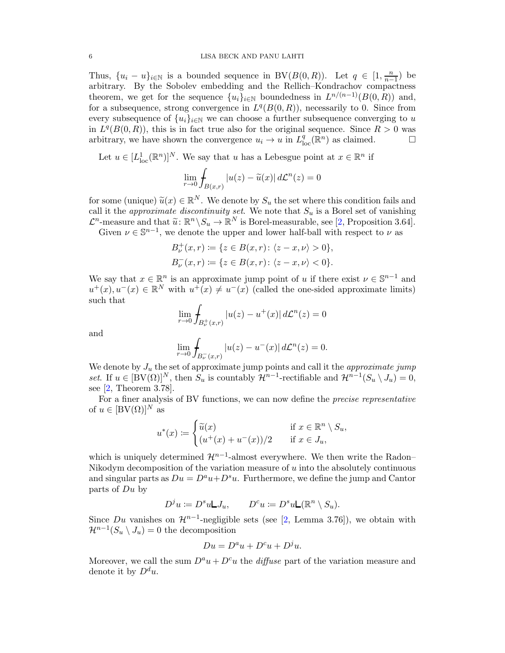<span id="page-5-0"></span>Thus,  $\{u_i - u\}_{i \in \mathbb{N}}$  is a bounded sequence in BV( $B(0,R)$ ). Let  $q \in [1, \frac{n}{n-1}]$  $\frac{n}{n-1}$ ) be arbitrary. By the Sobolev embedding and the Rellich–Kondrachov compactness theorem, we get for the sequence  ${u_i}_{i \in \mathbb{N}}$  boundedness in  $L^{n/(n-1)}(B(0,R))$  and, for a subsequence, strong convergence in  $L^q(B(0,R))$ , necessarily to 0. Since from every subsequence of  ${u_i}_{i \in \mathbb{N}}$  we can choose a further subsequence converging to u in  $L^q(B(0,R))$ , this is in fact true also for the original sequence. Since  $R > 0$  was arbitrary, we have shown the convergence  $u_i \to u$  in  $L^q_{loc}(\mathbb{R}^n)$  as claimed.

Let  $u \in [L^1_{loc}(\mathbb{R}^n)]^N$ . We say that u has a Lebesgue point at  $x \in \mathbb{R}^n$  if

$$
\lim_{r \to 0} \int_{B(x,r)} |u(z) - \widetilde{u}(x)| d\mathcal{L}^n(z) = 0
$$

for some (unique)  $\widetilde{u}(x) \in \mathbb{R}^N$ . We denote by  $S_u$  the set where this condition fails and call it the *approximate discontinuity set*. We note that  $S_u$  is a Borel set of vanishing  $\mathcal{L}^n$ -measure and that  $\widetilde{u}: \mathbb{R}^n \setminus S_u \to \mathbb{R}^N$  is Borel-measurable, see [\[2,](#page-20-1) Proposition 3.64].<br>Cityon  $u \in \mathbb{S}^{n-1}$  and denote the unper and letter helf hell with respect to use.

Given  $\nu \in \mathbb{S}^{n-1}$ , we denote the upper and lower half-ball with respect to  $\nu$  as

$$
B_{\nu}^{+}(x,r) := \{ z \in B(x,r) \colon \langle z - x, \nu \rangle > 0 \},
$$
  

$$
B_{\nu}^{-}(x,r) := \{ z \in B(x,r) \colon \langle z - x, \nu \rangle < 0 \}.
$$

We say that  $x \in \mathbb{R}^n$  is an approximate jump point of u if there exist  $\nu \in \mathbb{S}^{n-1}$  and  $u^+(x), u^-(x) \in \mathbb{R}^N$  with  $u^+(x) \neq u^-(x)$  (called the one-sided approximate limits) such that

$$
\lim_{r \to 0} \int_{B_{\nu}^{+}(x,r)} |u(z) - u^{+}(x)| d\mathcal{L}^{n}(z) = 0
$$

and

$$
\lim_{r \to 0} \int_{B_{\nu}^{-}(x,r)} |u(z) - u^{-}(x)| d\mathcal{L}^{n}(z) = 0.
$$

We denote by  $J_u$  the set of approximate jump points and call it the *approximate jump* set. If  $u \in [BV(\Omega)]^N$ , then  $S_u$  is countably  $\mathcal{H}^{n-1}$ -rectifiable and  $\mathcal{H}^{n-1}(S_u \setminus J_u) = 0$ , see [\[2,](#page-20-1) Theorem 3.78].

For a finer analysis of BV functions, we can now define the precise representative of  $u \in [BV(\Omega)]^N$  as

$$
u^*(x) \coloneqq \begin{cases} \widetilde{u}(x) & \text{if } x \in \mathbb{R}^n \setminus S_u, \\ (u^+(x) + u^-(x))/2 & \text{if } x \in J_u, \end{cases}
$$

which is uniquely determined  $\mathcal{H}^{n-1}$ -almost everywhere. We then write the Radon– Nikodym decomposition of the variation measure of  $u$  into the absolutely continuous and singular parts as  $Du = D^a u + D^s u$ . Furthermore, we define the jump and Cantor parts of  $Du$  by

$$
D^j u := D^s u L J_u, \qquad D^c u := D^s u L(\mathbb{R}^n \setminus S_u).
$$

Since Du vanishes on  $\mathcal{H}^{n-1}$ -negligible sets (see [\[2,](#page-20-1) Lemma 3.76]), we obtain with  $\mathcal{H}^{n-1}(S_u \setminus J_u) = 0$  the decomposition

$$
Du = D^a u + D^c u + D^j u.
$$

Moreover, we call the sum  $D^a u + D^c u$  the *diffuse* part of the variation measure and denote it by  $D^d u$ .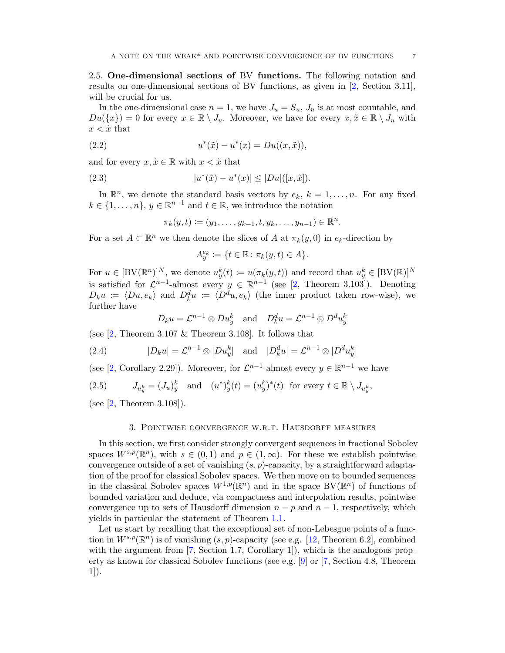<span id="page-6-6"></span><span id="page-6-2"></span>2.5. One-dimensional sections of BV functions. The following notation and results on one-dimensional sections of BV functions, as given in [\[2,](#page-20-1) Section 3.11], will be crucial for us.

In the one-dimensional case  $n = 1$ , we have  $J_u = S_u$ ,  $J_u$  is at most countable, and  $Du({x}) = 0$  for every  $x \in \mathbb{R} \setminus J_u$ . Moreover, we have for every  $x, \tilde{x} \in \mathbb{R} \setminus J_u$  with  $x < \tilde{x}$  that

(2.2) 
$$
u^*(\tilde{x}) - u^*(x) = Du((x, \tilde{x})),
$$

and for every  $x, \tilde{x} \in \mathbb{R}$  with  $x < \tilde{x}$  that

(2.3) 
$$
|u^*(\tilde{x}) - u^*(x)| \le |Du|([x, \tilde{x}]).
$$

In  $\mathbb{R}^n$ , we denote the standard basis vectors by  $e_k$ ,  $k = 1, ..., n$ . For any fixed  $k \in \{1, \ldots, n\}, y \in \mathbb{R}^{n-1}$  and  $t \in \mathbb{R}$ , we introduce the notation

<span id="page-6-5"></span><span id="page-6-1"></span>
$$
\pi_k(y, t) := (y_1, \dots, y_{k-1}, t, y_k, \dots, y_{n-1}) \in \mathbb{R}^n.
$$

For a set  $A \subset \mathbb{R}^n$  we then denote the slices of A at  $\pi_k(y,0)$  in  $e_k$ -direction by

$$
A_y^{e_k} \coloneqq \{ t \in \mathbb{R} \colon \pi_k(y, t) \in A \}.
$$

For  $u \in [BV(\mathbb{R}^n)]^N$ , we denote  $u_y^k(t) \coloneqq u(\pi_k(y, t))$  and record that  $u_y^k \in [BV(\mathbb{R})]^N$ is satisfied for  $\mathcal{L}^{n-1}$ -almost every  $y \in \mathbb{R}^{n-1}$  (see [\[2,](#page-20-1) Theorem 3.103]). Denoting  $D_k u := \langle Du, e_k \rangle$  and  $D_k^d u := \langle D^d u, e_k \rangle$  (the inner product taken row-wise), we further have

<span id="page-6-4"></span>
$$
D_k u = \mathcal{L}^{n-1} \otimes Du_y^k
$$
 and  $D_k^d u = \mathcal{L}^{n-1} \otimes D^d u_y^k$ 

(see  $[2,$  Theorem 3.107 & Theorem 3.108). It follows that

(2.4) 
$$
|D_k u| = \mathcal{L}^{n-1} \otimes |D u_y^k| \quad \text{and} \quad |D_k^d u| = \mathcal{L}^{n-1} \otimes |D^d u_y^k|
$$

(see [\[2,](#page-20-1) Corollary 2.29]). Moreover, for  $\mathcal{L}^{n-1}$ -almost every  $y \in \mathbb{R}^{n-1}$  we have

<span id="page-6-3"></span>(2.5)  $J_{u_y^k} = (J_u)_y^k$  and  $(u^*)_y^k(t) = (u_y^k)^*(t)$  for every  $t \in \mathbb{R} \setminus J_{u_y^k}$ ,

<span id="page-6-0"></span>(see [\[2,](#page-20-1) Theorem 3.108]).

### 3. Pointwise convergence w.r.t. Hausdorff measures

In this section, we first consider strongly convergent sequences in fractional Sobolev spaces  $W^{s,p}(\mathbb{R}^n)$ , with  $s \in (0,1)$  and  $p \in (1,\infty)$ . For these we establish pointwise convergence outside of a set of vanishing  $(s, p)$ -capacity, by a straightforward adaptation of the proof for classical Sobolev spaces. We then move on to bounded sequences in the classical Sobolev spaces  $W^{1,p}(\mathbb{R}^n)$  and in the space  $BV(\mathbb{R}^n)$  of functions of bounded variation and deduce, via compactness and interpolation results, pointwise convergence up to sets of Hausdorff dimension  $n - p$  and  $n - 1$ , respectively, which yields in particular the statement of Theorem [1.1.](#page-0-0)

Let us start by recalling that the exceptional set of non-Lebesgue points of a function in  $W^{s,p}(\mathbb{R}^n)$  is of vanishing  $(s, p)$ -capacity (see e.g. [\[12,](#page-20-8) Theorem 6.2], combined with the argument from [\[7,](#page-20-4) Section 1.7, Corollary 1]), which is the analogous property as known for classical Sobolev functions (see e.g. [\[9\]](#page-20-9) or [\[7,](#page-20-4) Section 4.8, Theorem 1]).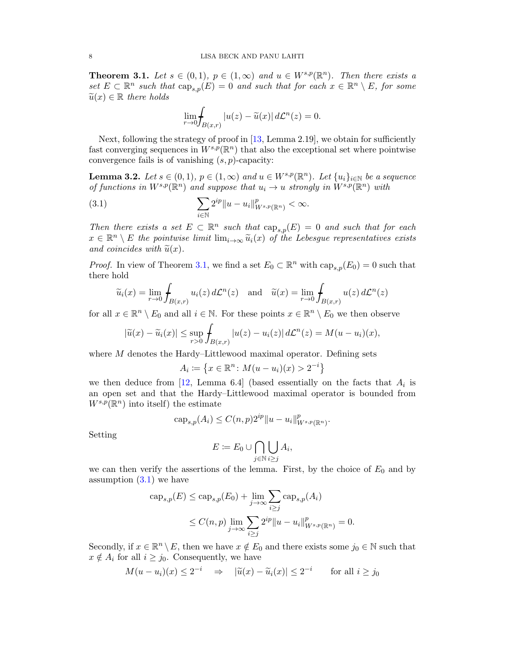<span id="page-7-2"></span><span id="page-7-0"></span>**Theorem 3.1.** Let  $s \in (0,1)$ ,  $p \in (1,\infty)$  and  $u \in W^{s,p}(\mathbb{R}^n)$ . Then there exists a set  $E \subset \mathbb{R}^n$  such that  $\text{cap}_{s,p}(E) = 0$  and such that for each  $x \in \mathbb{R}^n \setminus E$ , for some  $\widetilde{u}(x) \in \mathbb{R}$  there holds

<span id="page-7-1"></span>
$$
\lim_{r \to 0} \int_{B(x,r)} |u(z) - \widetilde{u}(x)| d\mathcal{L}^n(z) = 0.
$$

Next, following the strategy of proof in  $[13, \text{Lemma } 2.19]$ , we obtain for sufficiently fast converging sequences in  $W^{s,p}(\mathbb{R}^n)$  that also the exceptional set where pointwise convergence fails is of vanishing  $(s, p)$ -capacity:

**Lemma 3.2.** Let  $s \in (0,1)$ ,  $p \in (1,\infty)$  and  $u \in W^{s,p}(\mathbb{R}^n)$ . Let  $\{u_i\}_{i\in\mathbb{N}}$  be a sequence of functions in  $W^{s,p}(\mathbb{R}^n)$  and suppose that  $u_i \to u$  strongly in  $W^{s,p}(\mathbb{R}^n)$  with

(3.1) 
$$
\sum_{i \in \mathbb{N}} 2^{ip} \|u - u_i\|_{W^{s,p}(\mathbb{R}^n)}^p < \infty.
$$

Then there exists a set  $E \subset \mathbb{R}^n$  such that  $\text{cap}_{s,p}(E) = 0$  and such that for each  $x \in \mathbb{R}^n \setminus E$  the pointwise limit  $\lim_{i\to\infty} \tilde{u}_i(x)$  of the Lebesgue representatives exists and coincides with  $\widetilde{u}(x)$ .

*Proof.* In view of Theorem [3.1,](#page-7-0) we find a set  $E_0 \subset \mathbb{R}^n$  with  $\text{cap}_{s,p}(E_0) = 0$  such that there hold

$$
\widetilde{u}_i(x) = \lim_{r \to 0} \int_{B(x,r)} u_i(z) d\mathcal{L}^n(z) \text{ and } \widetilde{u}(x) = \lim_{r \to 0} \int_{B(x,r)} u(z) d\mathcal{L}^n(z)
$$

for all  $x \in \mathbb{R}^n \setminus E_0$  and all  $i \in \mathbb{N}$ . For these points  $x \in \mathbb{R}^n \setminus E_0$  we then observe

$$
|\widetilde{u}(x)-\widetilde{u}_i(x)| \leq \sup_{r>0} \int_{B(x,r)} |u(z)-u_i(z)| d\mathcal{L}^n(z) = M(u-u_i)(x),
$$

where M denotes the Hardy–Littlewood maximal operator. Defining sets

$$
A_i\coloneqq\left\{x\in\mathbb{R}^n\colon M(u-u_i)(x)>2^{-i}\right\}
$$

we then deduce from [\[12,](#page-20-8) Lemma 6.4] (based essentially on the facts that  $A_i$  is an open set and that the Hardy–Littlewood maximal operator is bounded from  $W^{s,p}(\mathbb{R}^n)$  into itself) the estimate

$$
cap_{s,p}(A_i) \le C(n,p)2^{ip} ||u - u_i||_{W^{s,p}(\mathbb{R}^n)}^p.
$$

Setting

$$
E := E_0 \cup \bigcap_{j \in \mathbb{N}} \bigcup_{i \ge j} A_i,
$$

we can then verify the assertions of the lemma. First, by the choice of  $E_0$  and by assumption  $(3.1)$  we have

$$
\begin{aligned} \n\text{cap}_{s,p}(E) &\leq \text{cap}_{s,p}(E_0) + \lim_{j \to \infty} \sum_{i \geq j} \text{cap}_{s,p}(A_i) \\ \n&\leq C(n,p) \lim_{j \to \infty} \sum_{i \geq j} 2^{ip} \|u - u_i\|_{W^{s,p}(\mathbb{R}^n)}^p = 0. \n\end{aligned}
$$

Secondly, if  $x \in \mathbb{R}^n \setminus E$ , then we have  $x \notin E_0$  and there exists some  $j_0 \in \mathbb{N}$  such that  $x \notin A_i$  for all  $i \geq j_0$ . Consequently, we have

$$
M(u - u_i)(x) \le 2^{-i} \Rightarrow |\widetilde{u}(x) - \widetilde{u}_i(x)| \le 2^{-i}
$$
 for all  $i \ge j_0$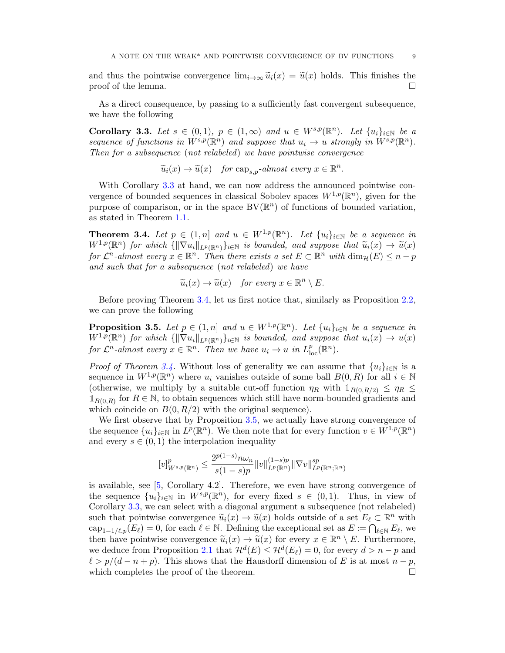<span id="page-8-3"></span>and thus the pointwise convergence  $\lim_{i\to\infty} \tilde{u}_i(x) = \tilde{u}(x)$  holds. This finishes the proof of the lemma. proof of the lemma.

As a direct consequence, by passing to a sufficiently fast convergent subsequence, we have the following

<span id="page-8-0"></span>Corollary 3.3. Let  $s \in (0,1)$ ,  $p \in (1,\infty)$  and  $u \in W^{s,p}(\mathbb{R}^n)$ . Let  $\{u_i\}_{i\in\mathbb{N}}$  be a sequence of functions in  $W^{s,p}(\mathbb{R}^n)$  and suppose that  $u_i \to u$  strongly in  $W^{s,p}(\mathbb{R}^n)$ . Then for a subsequence (not relabeled) we have pointwise convergence

 $\widetilde{u}_i(x) \to \widetilde{u}(x)$  for  $\text{cap}_{s,p}$ -almost every  $x \in \mathbb{R}^n$ .

With Corollary [3.3](#page-8-0) at hand, we can now address the announced pointwise convergence of bounded sequences in classical Sobolev spaces  $W^{1,p}(\mathbb{R}^n)$ , given for the purpose of comparison, or in the space  $BV(\mathbb{R}^n)$  of functions of bounded variation, as stated in Theorem [1.1.](#page-0-0)

<span id="page-8-1"></span>**Theorem 3.4.** Let  $p \in (1, n]$  and  $u \in W^{1,p}(\mathbb{R}^n)$ . Let  $\{u_i\}_{i\in\mathbb{N}}$  be a sequence in  $W^{1,p}(\mathbb{R}^n)$  for which  $\{||\nabla u_i||_{L^p(\mathbb{R}^n)}\}_{i\in\mathbb{N}}$  is bounded, and suppose that  $\widetilde{u}_i(x) \to \widetilde{u}(x)$ for  $\mathcal{L}^n$ -almost every  $x \in \mathbb{R}^n$ . Then there exists a set  $E \subset \mathbb{R}^n$  with  $\dim_{\mathcal{H}}(E) \leq n-p$ and such that for a subsequence (not relabeled) we have

$$
\widetilde{u}_i(x) \to \widetilde{u}(x)
$$
 for every  $x \in \mathbb{R}^n \setminus E$ .

Before proving Theorem [3.4,](#page-8-1) let us first notice that, similarly as Proposition [2.2,](#page-4-0) we can prove the following

<span id="page-8-2"></span>**Proposition 3.5.** Let  $p \in (1, n]$  and  $u \in W^{1,p}(\mathbb{R}^n)$ . Let  $\{u_i\}_{i \in \mathbb{N}}$  be a sequence in  $W^{1,p}(\mathbb{R}^n)$  for which  $\{\|\nabla u_i\|_{L^p(\mathbb{R}^n)}\}_{i\in\mathbb{N}}$  is bounded, and suppose that  $u_i(x) \to u(x)$ for  $\mathcal{L}^n$ -almost every  $x \in \mathbb{R}^n$ . Then we have  $u_i \to u$  in  $L^p_{loc}(\mathbb{R}^n)$ .

*Proof of Theorem [3.4.](#page-8-1)* Without loss of generality we can assume that  $\{u_i\}_{i\in\mathbb{N}}$  is a sequence in  $W^{1,p}(\mathbb{R}^n)$  where  $u_i$  vanishes outside of some ball  $B(0,R)$  for all  $i \in \mathbb{N}$ (otherwise, we multiply by a suitable cut-off function  $\eta_R$  with  $1_{B(0,R/2)} \leq \eta_R \leq$  $1_{B(0,R)}$  for  $R \in \mathbb{N}$ , to obtain sequences which still have norm-bounded gradients and which coincide on  $B(0, R/2)$  with the original sequence).

We first observe that by Proposition [3.5,](#page-8-2) we actually have strong convergence of the sequence  $\{u_i\}_{i\in\mathbb{N}}$  in  $L^p(\mathbb{R}^n)$ . We then note that for every function  $v \in W^{1,p}(\mathbb{R}^n)$ and every  $s \in (0,1)$  the interpolation inequality

$$
[v]_{W^{s,p}(\mathbb{R}^n)}^p \le \frac{2^{p(1-s)} n \omega_n}{s(1-s)p} ||v||_{L^p(\mathbb{R}^n)}^{(1-s)p} ||\nabla v||_{L^p(\mathbb{R}^n; \mathbb{R}^n)}^{sp}
$$

is available, see [\[5,](#page-20-11) Corollary 4.2]. Therefore, we even have strong convergence of the sequence  $\{u_i\}_{i\in\mathbb{N}}$  in  $W^{s,p}(\mathbb{R}^n)$ , for every fixed  $s \in (0,1)$ . Thus, in view of Corollary [3.3,](#page-8-0) we can select with a diagonal argument a subsequence (not relabeled) such that pointwise convergence  $\tilde{u}_i(x) \to \tilde{u}(x)$  holds outside of a set  $E_\ell \subset \mathbb{R}^n$  with  $\text{cap}_{1-1/\ell,p}(E_{\ell})=0$ , for each  $\ell \in \mathbb{N}$ . Defining the exceptional set as  $E \coloneqq \bigcap_{\ell \in \mathbb{N}} E_{\ell}$ , we then have pointwise convergence  $\widetilde{u}_i(x) \to \widetilde{u}(x)$  for every  $x \in \mathbb{R}^n \setminus E$ . Furthermore, we deduce from Proposition [2.1](#page-3-0) that  $\mathcal{H}^{d}(E) \leq \mathcal{H}^{d}(E_{\ell}) = 0$ , for every  $d > n - p$  and  $\ell > p/(d - n + p)$ . This shows that the Hausdorff dimension of E is at most  $n - p$ , which completes the proof of the theorem.  $\Box$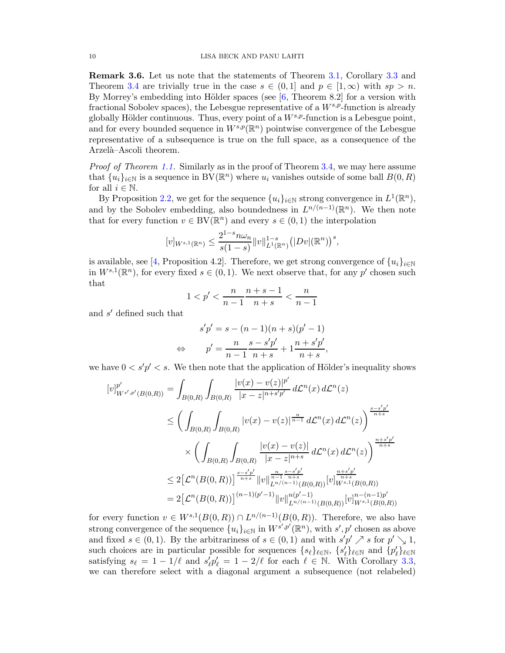Remark 3.6. Let us note that the statements of Theorem [3.1,](#page-7-0) Corollary [3.3](#page-8-0) and Theorem [3.4](#page-8-1) are trivially true in the case  $s \in (0,1]$  and  $p \in [1,\infty)$  with  $sp > n$ . By Morrey's embedding into Hölder spaces (see  $[6,$  Theorem 8.2] for a version with fractional Sobolev spaces), the Lebesgue representative of a  $W^{s,p}$ -function is already globally Hölder continuous. Thus, every point of a  $W^{s,p}$ -function is a Lebesgue point, and for every bounded sequence in  $W^{s,p}(\mathbb{R}^n)$  pointwise convergence of the Lebesgue representative of a subsequence is true on the full space, as a consequence of the Arzelà–Ascoli theorem.

*Proof of Theorem [1.1.](#page-0-0)* Similarly as in the proof of Theorem [3.4,](#page-8-1) we may here assume that  $\{u_i\}_{i\in\mathbb{N}}$  is a sequence in  $BV(\mathbb{R}^n)$  where  $u_i$  vanishes outside of some ball  $B(0,R)$ for all  $i \in \mathbb{N}$ .

By Proposition [2.2,](#page-4-0) we get for the sequence  $\{u_i\}_{i\in\mathbb{N}}$  strong convergence in  $L^1(\mathbb{R}^n)$ , and by the Sobolev embedding, also boundedness in  $L^{n/(n-1)}(\mathbb{R}^n)$ . We then note that for every function  $v \in BV(\mathbb{R}^n)$  and every  $s \in (0,1)$  the interpolation

$$
[v]_{W^{s,1}(\mathbb{R}^n)} \leq \frac{2^{1-s}n\omega_n}{s(1-s)} ||v||_{L^1(\mathbb{R}^n)}^{1-s} (|Dv|(\mathbb{R}^n))^s,
$$

is available, see [\[4,](#page-20-12) Proposition 4.2]. Therefore, we get strong convergence of  $\{u_i\}_{i\in\mathbb{N}}$ in  $W^{s,1}(\mathbb{R}^n)$ , for every fixed  $s \in (0,1)$ . We next observe that, for any p' chosen such that

$$
1 < p' < \frac{n}{n-1} \frac{n+s-1}{n+s} < \frac{n}{n-1}
$$

and  $s'$  defined such that

$$
s'p' = s - (n - 1)(n + s)(p' - 1)
$$
  
\n
$$
\Leftrightarrow \qquad p' = \frac{n}{n - 1} \frac{s - s'p'}{n + s} + 1 \frac{n + s'p'}{n + s},
$$

we have  $0 < s'p' < s$ . We then note that the application of Hölder's inequality shows

$$
[v]_{W^{s',p'}(B(0,R))}^{p'} = \int_{B(0,R)} \int_{B(0,R)} \frac{|v(x) - v(z)|^{p'}}{|x - z|^{n + s'p'}} d\mathcal{L}^{n}(x) d\mathcal{L}^{n}(z)
$$
  
\n
$$
\leq \left( \int_{B(0,R)} \int_{B(0,R)} |v(x) - v(z)|^{\frac{n}{n-1}} d\mathcal{L}^{n}(x) d\mathcal{L}^{n}(z) \right)^{\frac{s - s'p'}{n+s}}
$$
  
\n
$$
\times \left( \int_{B(0,R)} \int_{B(0,R)} \frac{|v(x) - v(z)|}{|x - z|^{n+s}} d\mathcal{L}^{n}(x) d\mathcal{L}^{n}(z) \right)^{\frac{n+s'p'}{n+s}}
$$
  
\n
$$
\leq 2 \left[ \mathcal{L}^{n}(B(0,R)) \right]^{\frac{s - s'p'}{n+s}} \|v\|_{L^{n/(n-1)}(B(0,R))}^{\frac{n}{n-1}} [v]_{W^{s,1}(B(0,R))}^{\frac{n+s'p'}{n+s}}
$$
  
\n
$$
= 2 \left[ \mathcal{L}^{n}(B(0,R)) \right]^{(n-1)(p'-1)} \|v\|_{L^{n/(n-1)}(B(0,R))}^{n(p'-1)} [v]_{W^{s,1}(B(0,R))}^{n-(n-1)p'}
$$

for every function  $v \in W^{s,1}(B(0,R)) \cap L^{n/(n-1)}(B(0,R))$ . Therefore, we also have strong convergence of the sequence  $\{u_i\}_{i\in\mathbb{N}}$  in  $W^{s',p'}(\mathbb{R}^n)$ , with  $s',p'$  chosen as above and fixed  $s \in (0,1)$ . By the arbitrariness of  $s \in (0,1)$  and with  $s'p' \nearrow s$  for  $p' \searrow 1$ , such choices are in particular possible for sequences  $\{s_\ell\}_{\ell \in \mathbb{N}}$ ,  $\{s'_\ell\}_{\ell \in \mathbb{N}}$  and  $\{p'_\ell\}_{\ell \in \mathbb{N}}$ satisfying  $s_{\ell} = 1 - 1/\ell$  and  $s'_{\ell} p'_{\ell} = 1 - 2/\ell$  for each  $\ell \in \mathbb{N}$ . With Corollary [3.3,](#page-8-0) we can therefore select with a diagonal argument a subsequence (not relabeled)

<span id="page-9-0"></span>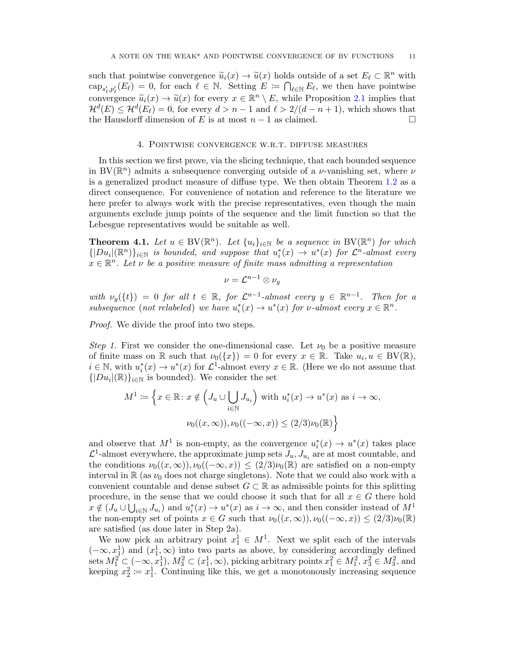such that pointwise convergence  $\tilde{u}_i(x) \to \tilde{u}(x)$  holds outside of a set  $E_\ell \subset \mathbb{R}^n$  with  $\text{cap}_{s'_\ell, p'_\ell}(E_\ell) = 0$ , for each  $\ell \in \mathbb{N}$ . Setting  $E := \bigcap_{\ell \in \mathbb{N}} E_\ell$ , we then have pointwise convergence  $\widetilde{u}_i(x) \to \widetilde{u}(x)$  for every  $x \in \mathbb{R}^n \setminus E$ , while Proposition [2.1](#page-3-0) implies that  $\mathcal{H}^{d}(E) \leq \mathcal{H}^{d}(E_{\ell}) = 0$ , for every  $d > n - 1$  and  $\ell > 2/(d - n + 1)$ , which shows that the Hausdorff dimension of E is at most  $n-1$  as claimed.

#### 4. Pointwise convergence w.r.t. diffuse measures

<span id="page-10-0"></span>In this section we first prove, via the slicing technique, that each bounded sequence in BV( $\mathbb{R}^n$ ) admits a subsequence converging outside of a *ν*-vanishing set, where *ν* is a generalized product measure of diffuse type. We then obtain Theorem [1.2](#page-1-1) as a direct consequence. For convenience of notation and reference to the literature we here prefer to always work with the precise representatives, even though the main arguments exclude jump points of the sequence and the limit function so that the Lebesgue representatives would be suitable as well.

<span id="page-10-1"></span>**Theorem 4.1.** Let  $u \in BV(\mathbb{R}^n)$ . Let  $\{u_i\}_{i\in\mathbb{N}}$  be a sequence in BV( $\mathbb{R}^n$ ) for which  $\{|Du_i|(\mathbb{R}^n)\}_{i\in\mathbb{N}}$  is bounded, and suppose that  $u_i^*(x) \to u^*(x)$  for  $\mathcal{L}^n$ -almost every  $x \in \mathbb{R}^n$ . Let  $\nu$  be a positive measure of finite mass admitting a representation

$$
\nu = \mathcal{L}^{n-1} \otimes \nu_y
$$

with  $\nu_y({t}) = 0$  for all  $t \in \mathbb{R}$ , for  $\mathcal{L}^{n-1}$ -almost every  $y \in \mathbb{R}^{n-1}$ . Then for a subsequence (not relabeled) we have  $u_i^*(x) \to u^*(x)$  for v-almost every  $x \in \mathbb{R}^n$ .

Proof. We divide the proof into two steps.

Step 1. First we consider the one-dimensional case. Let  $\nu_0$  be a positive measure of finite mass on R such that  $\nu_0({x}) = 0$  for every  $x \in \mathbb{R}$ . Take  $u_i, u \in BV(\mathbb{R})$ ,  $i \in \mathbb{N}$ , with  $u_i^*(x) \to u^*(x)$  for  $\mathcal{L}^1$ -almost every  $x \in \mathbb{R}$ . (Here we do not assume that  $\{|Du_i|(\mathbb{R})\}_{i\in\mathbb{N}}$  is bounded). We consider the set

$$
M^{1} := \left\{ x \in \mathbb{R} : x \notin \left( J_{u} \cup \bigcup_{i \in \mathbb{N}} J_{u_{i}} \right) \text{ with } u_{i}^{*}(x) \to u^{*}(x) \text{ as } i \to \infty, \right\}
$$

$$
\nu_{0}((x, \infty)), \nu_{0}((-\infty, x)) \leq (2/3)\nu_{0}(\mathbb{R}) \right\}
$$

and observe that  $M^1$  is non-empty, as the convergence  $u_i^*(x) \to u^*(x)$  takes place  $\mathcal{L}^1$ -almost everywhere, the approximate jump sets  $J_u, J_{u_i}$  are at most countable, and the conditions  $\nu_0((x,\infty), \nu_0((-\infty, x)) \leq (2/3)\nu_0(\mathbb{R})$  are satisfied on a non-empty interval in R (as  $\nu_0$  does not charge singletons). Note that we could also work with a convenient countable and dense subset  $G \subset \mathbb{R}$  as admissible points for this splitting procedure, in the sense that we could choose it such that for all  $x \in G$  there hold  $x \notin (J_u \cup \bigcup_{i \in \mathbb{N}} J_{u_i})$  and  $u_i^*(x) \to u^*(x)$  as  $i \to \infty$ , and then consider instead of  $M^1$ the non-empty set of points  $x \in G$  such that  $\nu_0((x,\infty)), \nu_0((-\infty,x)) \leq (2/3)\nu_0(\mathbb{R})$ are satisfied (as done later in Step 2a).

We now pick an arbitrary point  $x_1^1 \in M^1$ . Next we split each of the intervals  $(-\infty, x_1^1)$  and  $(x_1^1, \infty)$  into two parts as above, by considering accordingly defined sets  $M_1^2 \subset (-\infty, x_1^1), M_3^2 \subset (x_1^1, \infty)$ , picking arbitrary points  $x_1^2 \in M_1^2$ ,  $x_3^2 \in M_3^2$ , and keeping  $x_2^2 := x_1^1$ . Continuing like this, we get a monotonously increasing sequence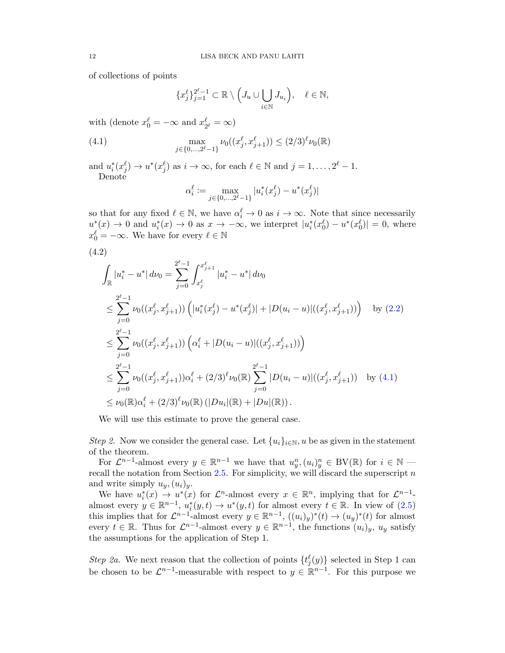of collections of points

<span id="page-11-0"></span>
$$
\{x_j^{\ell}\}_{j=1}^{2^{\ell}-1} \subset \mathbb{R} \setminus \left(J_u \cup \bigcup_{i \in \mathbb{N}} J_{u_i}\right), \quad \ell \in \mathbb{N},
$$

with (denote  $x_0^{\ell} = -\infty$  and  $x_2^{\ell}$  $\frac{\ell}{2^{\ell}} = \infty$ 

(4.1) 
$$
\max_{j \in \{0, \dots, 2^{\ell}-1\}} \nu_0((x_j^{\ell}, x_{j+1}^{\ell})) \le (2/3)^{\ell} \nu_0(\mathbb{R})
$$

and  $u_i^*(x_j^\ell) \to u^*(x_j^\ell)$  as  $i \to \infty$ , for each  $\ell \in \mathbb{N}$  and  $j = 1, \ldots, 2^{\ell} - 1$ . Denote

$$
\alpha_i^{\ell} := \max_{j \in \{0, \dots, 2^{\ell} - 1\}} |u_i^*(x_j^{\ell}) - u^*(x_j^{\ell})|
$$

so that for any fixed  $\ell \in \mathbb{N}$ , we have  $\alpha_i^{\ell} \to 0$  as  $i \to \infty$ . Note that since necessarily  $u_i^*(x) \to 0$  and  $u_i^*(x) \to 0$  as  $x \to -\infty$ , we interpret  $|u_i^*(x_0^\ell) - u^*(x_0^\ell)| = 0$ , where  $x_0^{\ell} = -\infty$ . We have for every  $\ell \in \mathbb{N}$ 

$$
(4.2)
$$

<span id="page-11-1"></span>
$$
\int_{\mathbb{R}} |u_{i}^{*} - u^{*}| \, d\nu_{0} = \sum_{j=0}^{2^{\ell}-1} \int_{x_{j}^{\ell}}^{x_{j+1}^{\ell}} |u_{i}^{*} - u^{*}| \, d\nu_{0}
$$
\n
$$
\leq \sum_{j=0}^{2^{\ell}-1} \nu_{0}((x_{j}^{\ell}, x_{j+1}^{\ell})) \left( |u_{i}^{*}(x_{j}^{\ell}) - u^{*}(x_{j}^{\ell})| + |D(u_{i} - u)|((x_{j}^{\ell}, x_{j+1}^{\ell})) \right) \quad \text{by (2.2)}
$$
\n
$$
\leq \sum_{j=0}^{2^{\ell}-1} \nu_{0}((x_{j}^{\ell}, x_{j+1}^{\ell})) \left( \alpha_{i}^{\ell} + |D(u_{i} - u)|((x_{j}^{\ell}, x_{j+1}^{\ell})) \right)
$$
\n
$$
\leq \sum_{j=0}^{2^{\ell}-1} \nu_{0}((x_{j}^{\ell}, x_{j+1}^{\ell})) \alpha_{i}^{\ell} + (2/3)^{\ell} \nu_{0}(\mathbb{R}) \sum_{j=0}^{2^{\ell}-1} |D(u_{i} - u)|((x_{j}^{\ell}, x_{j+1}^{\ell})) \quad \text{by (4.1)}
$$
\n
$$
\leq \nu_{0}(\mathbb{R}) \alpha_{i}^{\ell} + (2/3)^{\ell} \nu_{0}(\mathbb{R}) (|Du_{i}|(\mathbb{R}) + |Du|(\mathbb{R})).
$$

We will use this estimate to prove the general case.

Step 2. Now we consider the general case. Let  $\{u_i\}_{i\in\mathbb{N}}$ , u be as given in the statement of the theorem.

For  $\mathcal{L}^{n-1}$ -almost every  $y \in \mathbb{R}^{n-1}$  we have that  $u_y^n,(u_i)_y^n \in BV(\mathbb{R})$  for  $i \in \mathbb{N}$  recall the notation from Section  $2.5$ . For simplicity, we will discard the superscript n and write simply  $u_y,(u_i)_y$ .

We have  $u_i^*(x) \to u^*(x)$  for  $\mathcal{L}^n$ -almost every  $x \in \mathbb{R}^n$ , implying that for  $\mathcal{L}^{n-1}$ almost every  $y \in \mathbb{R}^{n-1}$ ,  $u_i^*(y,t) \to u^*(y,t)$  for almost every  $t \in \mathbb{R}$ . In view of  $(2.5)$ this implies that for  $\mathcal{L}^{n-1}$ -almost every  $y \in \mathbb{R}^{n-1}$ ,  $((u_i)_y)^*(t) \to (u_y)^*(t)$  for almost every  $t \in \mathbb{R}$ . Thus for  $\mathcal{L}^{n-1}$ -almost every  $y \in \mathbb{R}^{n-1}$ , the functions  $(u_i)_y$ ,  $u_y$  satisfy the assumptions for the application of Step 1.

Step 2a. We next reason that the collection of points  $\{t_j^{\ell}(y)\}$  selected in Step 1 can be chosen to be  $\mathcal{L}^{n-1}$ -measurable with respect to  $y \in \mathbb{R}^{n-1}$ . For this purpose we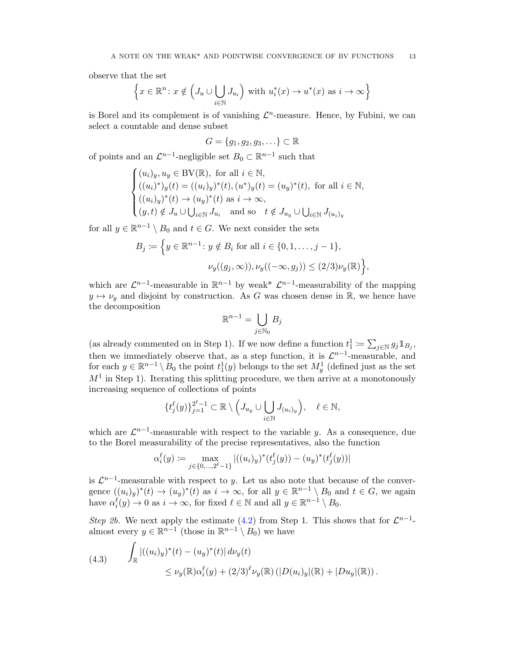observe that the set

$$
\left\{x \in \mathbb{R}^n \colon x \notin \left(J_u \cup \bigcup_{i \in \mathbb{N}} J_{u_i}\right) \text{ with } u_i^*(x) \to u^*(x) \text{ as } i \to \infty\right\}
$$

is Borel and its complement is of vanishing  $\mathcal{L}^n$ -measure. Hence, by Fubini, we can select a countable and dense subset

$$
G = \{g_1, g_2, g_3, \ldots\} \subset \mathbb{R}
$$

of points and an  $\mathcal{L}^{n-1}$ -negligible set  $B_0 \subset \mathbb{R}^{n-1}$  such that

$$
\begin{cases} (u_i)_y,u_y\in{\rm BV}(\mathbb{R}),\ \hbox{for all}\ i\in\mathbb{N},\\ ((u_i)^*)_y(t)=((u_i)_y)^*(t),(u^*)_y(t)=(u_y)^*(t),\ \hbox{for all}\ i\in\mathbb{N},\\ ((u_i)_y)^*(t)\rightarrow (u_y)^*(t)\ \hbox{as}\ i\rightarrow\infty,\\ (y,t)\notin J_u\cup\bigcup_{i\in\mathbb{N}}J_{u_i}\ \hbox{ and so}\quad t\notin J_{u_y}\cup\bigcup_{i\in\mathbb{N}}J_{(u_i)_y}\end{cases}
$$

for all  $y \in \mathbb{R}^{n-1} \setminus B_0$  and  $t \in G$ . We next consider the sets

$$
B_j := \left\{ y \in \mathbb{R}^{n-1} : y \notin B_i \text{ for all } i \in \{0, 1, \dots, j-1\}, \right\}
$$

$$
\nu_y((g_j, \infty)), \nu_y((-\infty, g_j)) \le (2/3)\nu_y(\mathbb{R}) \right\},\
$$

which are  $\mathcal{L}^{n-1}$ -measurable in  $\mathbb{R}^{n-1}$  by weak\*  $\mathcal{L}^{n-1}$ -measurability of the mapping  $y \mapsto \nu_y$  and disjoint by construction. As G was chosen dense in R, we hence have the decomposition

$$
\mathbb{R}^{n-1} = \bigcup_{j \in \mathbb{N}_0} B_j
$$

(as already commented on in Step 1). If we now define a function  $t_1^1 := \sum_{j \in \mathbb{N}} g_j \mathbb{1}_{B_j}$ , then we immediately observe that, as a step function, it is  $\mathcal{L}^{n-1}$ -measurable, and for each  $y \in \mathbb{R}^{n-1} \setminus B_0$  the point  $t_1^1(y)$  belongs to the set  $M_y^1$  (defined just as the set  $M<sup>1</sup>$  in Step 1). Iterating this splitting procedure, we then arrive at a monotonously increasing sequence of collections of points

$$
\{t_j^{\ell}(y)\}_{j=1}^{2^{\ell}-1} \subset \mathbb{R} \setminus \Big(J_{u_y} \cup \bigcup_{i \in \mathbb{N}} J_{(u_i)_y}\Big), \quad \ell \in \mathbb{N},
$$

which are  $\mathcal{L}^{n-1}$ -measurable with respect to the variable y. As a consequence, due to the Borel measurability of the precise representatives, also the function

$$
\alpha_i^{\ell}(y) := \max_{j \in \{0, \dots, 2^{\ell}-1\}} |((u_i)_y)^*(t_j^{\ell}(y)) - (u_y)^*(t_j^{\ell}(y))|
$$

is  $\mathcal{L}^{n-1}$ -measurable with respect to y. Let us also note that because of the convergence  $((u_i)_y)^*(t) \to (u_y)^*(t)$  as  $i \to \infty$ , for all  $y \in \mathbb{R}^{n-1} \setminus B_0$  and  $t \in G$ , we again have  $\alpha_i^{\ell}(y) \to 0$  as  $i \to \infty$ , for fixed  $\ell \in \mathbb{N}$  and all  $y \in \mathbb{R}^{n-1} \setminus B_0$ .

Step 2b. We next apply the estimate [\(4.2\)](#page-11-1) from Step 1. This shows that for  $\mathcal{L}^{n-1}$ almost every  $y \in \mathbb{R}^{n-1}$  (those in  $\mathbb{R}^{n-1} \setminus B_0$ ) we have

<span id="page-12-0"></span>(4.3) 
$$
\int_{\mathbb{R}} |((u_i)_y)^*(t) - (u_y)^*(t)| d\nu_y(t) \le \nu_y(\mathbb{R}) \alpha_i^{\ell}(y) + (2/3)^{\ell} \nu_y(\mathbb{R}) (|D(u_i)_y|(\mathbb{R}) + |Du_y|(\mathbb{R})).
$$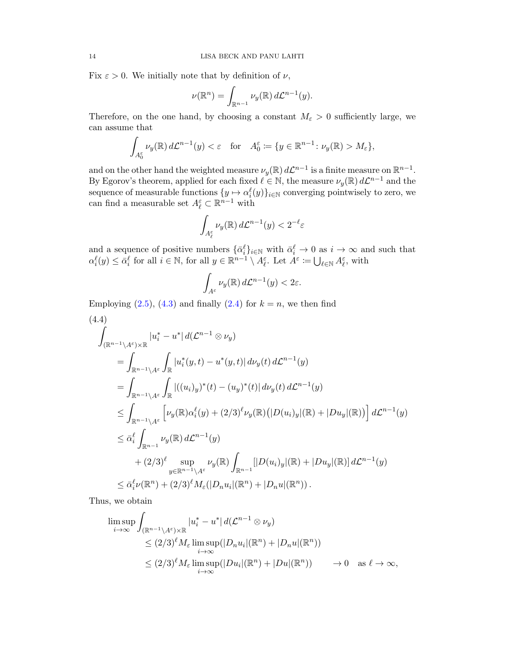Fix  $\varepsilon > 0$ . We initially note that by definition of  $\nu$ ,

$$
\nu(\mathbb{R}^n) = \int_{\mathbb{R}^{n-1}} \nu_y(\mathbb{R}) d\mathcal{L}^{n-1}(y).
$$

Therefore, on the one hand, by choosing a constant  $M_{\varepsilon} > 0$  sufficiently large, we can assume that

$$
\int_{A_0^\varepsilon} \nu_y(\mathbb{R}) d\mathcal{L}^{n-1}(y) < \varepsilon \quad \text{for} \quad A_0^\varepsilon \coloneqq \{y \in \mathbb{R}^{n-1} \colon \nu_y(\mathbb{R}) > M_\varepsilon\},
$$

and on the other hand the weighted measure  $\nu_y(\mathbb{R}) d\mathcal{L}^{n-1}$  is a finite measure on  $\mathbb{R}^{n-1}$ . By Egorov's theorem, applied for each fixed  $\ell \in \mathbb{N}$ , the measure  $\nu_y(\mathbb{R}) d\mathcal{L}^{n-1}$  and the sequence of measurable functions  $\{y \mapsto \alpha_i^{\ell}(y)\}_{i \in \mathbb{N}}$  converging pointwisely to zero, we can find a measurable set  $A_{\ell}^{\varepsilon} \subset \mathbb{R}^{n-1}$  with

$$
\int_{A_\ell^\varepsilon} \nu_y(\mathbb{R})\,d\mathcal{L}^{n-1}(y)<2^{-\ell}\varepsilon
$$

and a sequence of positive numbers  $\{\bar{\alpha}_i^{\ell}\}_{i\in\mathbb{N}}$  with  $\bar{\alpha}_i^{\ell}\to 0$  as  $i\to\infty$  and such that  $\alpha_i^{\ell}(y) \leq \bar{\alpha}_i^{\ell}$  for all  $i \in \mathbb{N}$ , for all  $y \in \mathbb{R}^{n-1} \setminus A_{\ell}^{\varepsilon}$ . Let  $A^{\varepsilon} := \bigcup_{\ell \in \mathbb{N}} A_{\ell}^{\varepsilon}$ , with

$$
\int_{A^\varepsilon} \nu_y(\mathbb{R})\,d\mathcal{L}^{n-1}(y) < 2\varepsilon.
$$

Employing  $(2.5)$ ,  $(4.3)$  and finally  $(2.4)$  for  $k = n$ , we then find (4.4)

$$
\int_{(\mathbb{R}^{n-1}\setminus A^{\varepsilon})\times\mathbb{R}} |u_{i}^{*}-u^{*}| d(\mathcal{L}^{n-1}\otimes\nu_{y})
$$
\n
$$
= \int_{\mathbb{R}^{n-1}\setminus A^{\varepsilon}} \int_{\mathbb{R}} |u_{i}^{*}(y,t)-u^{*}(y,t)| d\nu_{y}(t) d\mathcal{L}^{n-1}(y)
$$
\n
$$
= \int_{\mathbb{R}^{n-1}\setminus A^{\varepsilon}} \int_{\mathbb{R}} |((u_{i})_{y})^{*}(t) - (u_{y})^{*}(t)| d\nu_{y}(t) d\mathcal{L}^{n-1}(y)
$$
\n
$$
\leq \int_{\mathbb{R}^{n-1}\setminus A^{\varepsilon}} \left[\nu_{y}(\mathbb{R}) \alpha_{i}^{\ell}(y) + (2/3)^{\ell} \nu_{y}(\mathbb{R}) (|D(u_{i})_{y}|(\mathbb{R}) + |Du_{y}|(\mathbb{R}))\right] d\mathcal{L}^{n-1}(y)
$$
\n
$$
\leq \bar{\alpha}_{i}^{\ell} \int_{\mathbb{R}^{n-1}} \nu_{y}(\mathbb{R}) d\mathcal{L}^{n-1}(y)
$$
\n
$$
+ (2/3)^{\ell} \sup_{y \in \mathbb{R}^{n-1}\setminus A^{\varepsilon}} \nu_{y}(\mathbb{R}) \int_{\mathbb{R}^{n-1}} [|D(u_{i})_{y}|(\mathbb{R}) + |Du_{y}|(\mathbb{R})] d\mathcal{L}^{n-1}(y)
$$
\n
$$
\leq \bar{\alpha}_{i}^{\ell} \nu(\mathbb{R}^{n}) + (2/3)^{\ell} M_{\varepsilon}(|D_{n}u_{i}|(\mathbb{R}^{n}) + |D_{n}u|(\mathbb{R}^{n})) .
$$

Thus, we obtain

$$
\limsup_{i \to \infty} \int_{(\mathbb{R}^{n-1} \setminus A^{\varepsilon}) \times \mathbb{R}} |u_i^* - u^*| d(\mathcal{L}^{n-1} \otimes \nu_y)
$$
\n
$$
\leq (2/3)^{\ell} M_{\varepsilon} \limsup_{i \to \infty} (|D_n u_i|(\mathbb{R}^n) + |D_n u|(\mathbb{R}^n))
$$
\n
$$
\leq (2/3)^{\ell} M_{\varepsilon} \limsup_{i \to \infty} (|Du_i|(\mathbb{R}^n) + |Du|(\mathbb{R}^n)) \longrightarrow 0 \quad \text{as } \ell \to \infty,
$$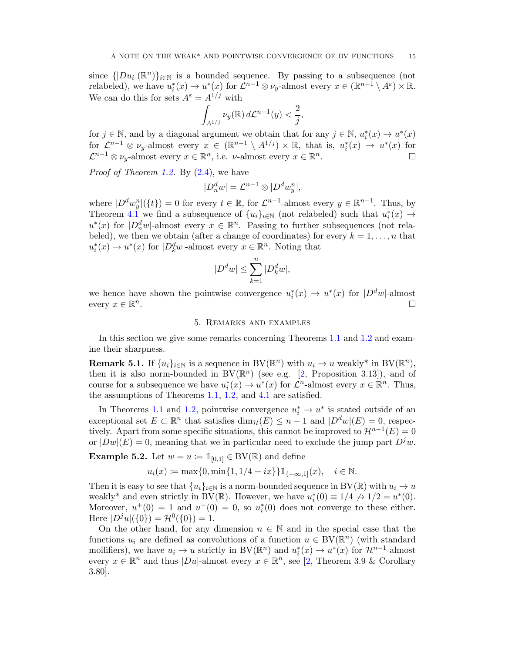<span id="page-14-1"></span>since  $\{|Du_i|(\mathbb{R}^n)\}_{i\in\mathbb{N}}$  is a bounded sequence. By passing to a subsequence (not relabeled), we have  $u_i^*(x) \to u^*(x)$  for  $\mathcal{L}^{n-1} \otimes \nu_y$ -almost every  $x \in (\mathbb{R}^{n-1} \setminus A^\varepsilon) \times \mathbb{R}$ . We can do this for sets  $A^{\varepsilon} = A^{1/j}$  with

$$
\int_{A^{1/j}} \nu_y(\mathbb{R}) d\mathcal{L}^{n-1}(y) < \frac{2}{j},
$$

for  $j \in \mathbb{N}$ , and by a diagonal argument we obtain that for any  $j \in \mathbb{N}$ ,  $u_i^*(x) \to u^*(x)$ for  $\mathcal{L}^{n-1} \otimes \nu_y$ -almost every  $x \in (\mathbb{R}^{n-1} \setminus A^{1/j}) \times \mathbb{R}$ , that is,  $u_i^*(x) \to u^*(x)$  for  $\mathcal{L}^{n-1} \otimes \nu_y$ -almost every  $x \in \mathbb{R}^n$ , i.e.  $\nu$ -almost every  $x \in \mathbb{R}^n$ .

*Proof of Theorem [1.2.](#page-1-1)* By  $(2.4)$ , we have

$$
|D_n^dw| = \mathcal{L}^{n-1} \otimes |D^dw_y^n|,
$$

where  $|D^d w_y^n|(\lbrace t \rbrace) = 0$  for every  $t \in \mathbb{R}$ , for  $\mathcal{L}^{n-1}$ -almost every  $y \in \mathbb{R}^{n-1}$ . Thus, by Theorem [4.1](#page-10-1) we find a subsequence of  $\{u_i\}_{i\in\mathbb{N}}$  (not relabeled) such that  $u_i^*(x) \to$  $u^*(x)$  for  $|D_n^dw|$ -almost every  $x \in \mathbb{R}^n$ . Passing to further subsequences (not relabeled), we then we obtain (after a change of coordinates) for every  $k = 1, \ldots, n$  that  $u_i^*(x) \to u^*(x)$  for  $|D_k^dw|$ -almost every  $x \in \mathbb{R}^n$ . Noting that

$$
|D^dw|\leq \sum_{k=1}^n |D_k^dw|,
$$

<span id="page-14-0"></span>we hence have shown the pointwise convergence  $u_i^*(x) \to u^*(x)$  for  $|D^dw|$ -almost every  $x \in \mathbb{R}^n$ .

# 5. Remarks and examples

In this section we give some remarks concerning Theorems [1.1](#page-0-0) and [1.2](#page-1-1) and examine their sharpness.

**Remark 5.1.** If  $\{u_i\}_{i\in\mathbb{N}}$  is a sequence in BV( $\mathbb{R}^n$ ) with  $u_i \to u$  weakly\* in BV( $\mathbb{R}^n$ ), then it is also norm-bounded in  $BV(\mathbb{R}^n)$  (see e.g. [\[2,](#page-20-1) Proposition 3.13]), and of course for a subsequence we have  $u_i^*(x) \to u^*(x)$  for  $\mathcal{L}^n$ -almost every  $x \in \mathbb{R}^n$ . Thus, the assumptions of Theorems [1.1,](#page-0-0) [1.2,](#page-1-1) and [4.1](#page-10-1) are satisfied.

In Theorems [1.1](#page-0-0) and [1.2,](#page-1-1) pointwise convergence  $u_i^* \to u^*$  is stated outside of an exceptional set  $E \subset \mathbb{R}^n$  that satisfies  $\dim_{\mathcal{H}}(E) \leq n-1$  and  $|D^dw|(E) = 0$ , respectively. Apart from some specific situations, this cannot be improved to  $\mathcal{H}^{n-1}(E) = 0$ or  $|Dw|(E) = 0$ , meaning that we in particular need to exclude the jump part  $D^j w$ .

**Example 5.2.** Let  $w = u := \mathbb{1}_{[0,1]} \in BV(\mathbb{R})$  and define

$$
u_i(x) := \max\{0, \min\{1, 1/4 + ix\}\} \mathbb{1}_{(-\infty, 1]}(x), \quad i \in \mathbb{N}.
$$

Then it is easy to see that  $\{u_i\}_{i\in\mathbb{N}}$  is a norm-bounded sequence in BV( $\mathbb{R}$ ) with  $u_i \to u$ weakly\* and even strictly in BV( $\mathbb{R}$ ). However, we have  $u_i^*(0) \equiv 1/4 \nrightarrow 1/2 = u^*(0)$ . Moreover,  $u^+(0) = 1$  and  $u^-(0) = 0$ , so  $u_i^*(0)$  does not converge to these either. Here  $|D^{j}u|(\{0\}) = \mathcal{H}^{0}(\{0\}) = 1.$ 

On the other hand, for any dimension  $n \in \mathbb{N}$  and in the special case that the functions  $u_i$  are defined as convolutions of a function  $u \in BV(\mathbb{R}^n)$  (with standard mollifiers), we have  $u_i \to u$  strictly in BV( $\mathbb{R}^n$ ) and  $u_i^*(x) \to u^*(x)$  for  $\mathcal{H}^{n-1}$ -almost every  $x \in \mathbb{R}^n$  and thus  $|Du|$ -almost every  $x \in \mathbb{R}^n$ , see [\[2,](#page-20-1) Theorem 3.9 & Corollary 3.80].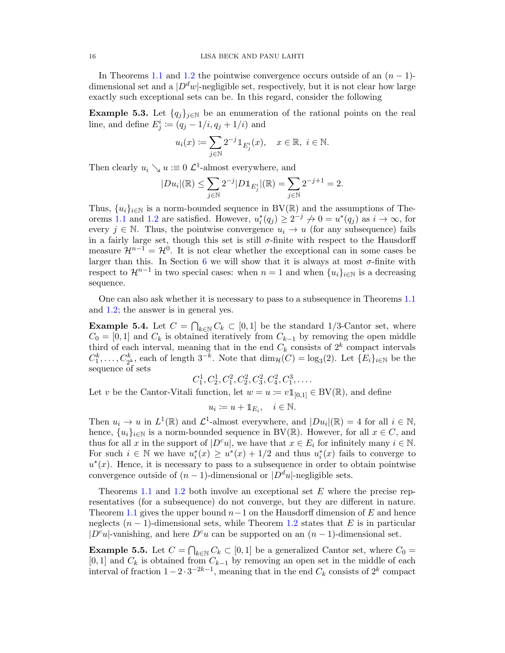In Theorems [1.1](#page-0-0) and [1.2](#page-1-1) the pointwise convergence occurs outside of an  $(n-1)$ dimensional set and a  $D^d w$ -negligible set, respectively, but it is not clear how large exactly such exceptional sets can be. In this regard, consider the following

**Example 5.3.** Let  $\{q_i\}_{i\in\mathbb{N}}$  be an enumeration of the rational points on the real line, and define  $E_j^i \coloneqq (q_j - 1/i, q_j + 1/i)$  and

$$
u_i(x) \coloneqq \sum_{j \in \mathbb{N}} 2^{-j} \mathbbm{1}_{E^i_j}(x), \quad x \in \mathbb{R}, \ i \in \mathbb{N}.
$$

Then clearly  $u_i \searrow u := 0$   $\mathcal{L}^1$ -almost everywhere, and

$$
|Du_i|(\mathbb{R}) \leq \sum_{j \in \mathbb{N}} 2^{-j} |D1\mathbb{1}_{E^i_j}|(\mathbb{R}) = \sum_{j \in \mathbb{N}} 2^{-j+1} = 2.
$$

Thus,  $\{u_i\}_{i\in\mathbb{N}}$  is a norm-bounded sequence in BV( $\mathbb{R}$ ) and the assumptions of The-orems [1.1](#page-0-0) and [1.2](#page-1-1) are satisfied. However,  $u_i^*(q_j) \geq 2^{-j} \nrightarrow 0 = u^*(q_j)$  as  $i \rightarrow \infty$ , for every  $j \in \mathbb{N}$ . Thus, the pointwise convergence  $u_i \to u$  (for any subsequence) fails in a fairly large set, though this set is still  $\sigma$ -finite with respect to the Hausdorff measure  $\mathcal{H}^{n-1} = \mathcal{H}^0$ . It is not clear whether the exceptional can in some cases be larger than this. In Section [6](#page-17-0) we will show that it is always at most  $\sigma$ -finite with respect to  $\mathcal{H}^{n-1}$  in two special cases: when  $n = 1$  and when  $\{u_i\}_{i \in \mathbb{N}}$  is a decreasing sequence.

One can also ask whether it is necessary to pass to a subsequence in Theorems [1.1](#page-0-0) and [1.2;](#page-1-1) the answer is in general yes.

**Example 5.4.** Let  $C = \bigcap_{k \in \mathbb{N}} C_k \subset [0,1]$  be the standard 1/3-Cantor set, where  $C_0 = [0, 1]$  and  $C_k$  is obtained iteratively from  $C_{k-1}$  by removing the open middle third of each interval, meaning that in the end  $C_k$  consists of  $2^k$  compact intervals  $C_1^k, \ldots, C_{2^k}^k$  each of length  $3^{-k}$ . Note that  $\dim_{\mathcal{H}}(C) = \log_3(2)$ . Let  $\{E_i\}_{i \in \mathbb{N}}$  be the sequence of sets

$$
C_1^1, C_2^1, C_1^2, C_2^2, C_3^2, C_4^2, C_1^3, \dots
$$

Let v be the Cantor-Vitali function, let  $w = u := v \mathbb{1}_{[0,1]} \in BV(\mathbb{R})$ , and define

$$
u_i \coloneqq u + \mathbb{1}_{E_i}, \quad i \in \mathbb{N}.
$$

Then  $u_i \to u$  in  $L^1(\mathbb{R})$  and  $\mathcal{L}^1$ -almost everywhere, and  $|Du_i|(\mathbb{R}) = 4$  for all  $i \in \mathbb{N}$ , hence,  $\{u_i\}_{i\in\mathbb{N}}$  is a norm-bounded sequence in BV(R). However, for all  $x \in C$ , and thus for all x in the support of  $|D^c u|$ , we have that  $x \in E_i$  for infinitely many  $i \in \mathbb{N}$ . For such  $i \in \mathbb{N}$  we have  $u_i^*(x) \ge u^*(x) + 1/2$  and thus  $u_i^*(x)$  fails to converge to  $u^*(x)$ . Hence, it is necessary to pass to a subsequence in order to obtain pointwise convergence outside of  $(n-1)$ -dimensional or  $|D^d u|$ -negligible sets.

Theorems [1.1](#page-0-0) and [1.2](#page-1-1) both involve an exceptional set E where the precise representatives (for a subsequence) do not converge, but they are different in nature. Theorem [1.1](#page-0-0) gives the upper bound  $n-1$  on the Hausdorff dimension of E and hence neglects  $(n-1)$ -dimensional sets, while Theorem [1.2](#page-1-1) states that E is in particular  $|D^c u|$ -vanishing, and here  $D^c u$  can be supported on an  $(n-1)$ -dimensional set.

**Example 5.5.** Let  $C = \bigcap_{k \in \mathbb{N}} C_k \subset [0,1]$  be a generalized Cantor set, where  $C_0 =$ [0, 1] and  $C_k$  is obtained from  $C_{k-1}$  by removing an open set in the middle of each interval of fraction  $1-2 \cdot 3^{-2k-1}$ , meaning that in the end  $C_k$  consists of  $2^k$  compact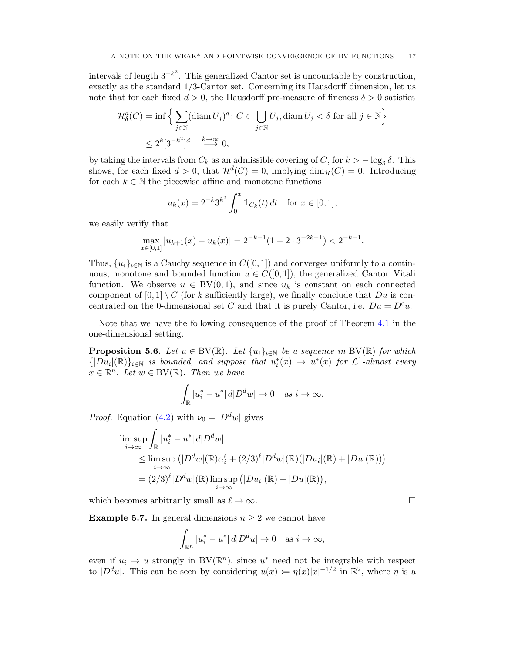intervals of length  $3^{-k^2}$ . This generalized Cantor set is uncountable by construction, exactly as the standard 1/3-Cantor set. Concerning its Hausdorff dimension, let us note that for each fixed  $d > 0$ , the Hausdorff pre-measure of fineness  $\delta > 0$  satisfies

$$
\mathcal{H}_{\delta}^{d}(C) = \inf \left\{ \sum_{j \in \mathbb{N}} (\text{diam } U_{j})^{d} \colon C \subset \bigcup_{j \in \mathbb{N}} U_{j}, \text{diam } U_{j} < \delta \text{ for all } j \in \mathbb{N} \right\}
$$

$$
\leq 2^{k} [3^{-k^{2}}]^{d} \stackrel{k \to \infty}{\longrightarrow} 0,
$$

by taking the intervals from  $C_k$  as an admissible covering of  $C$ , for  $k > -\log_3 \delta$ . This shows, for each fixed  $d > 0$ , that  $\mathcal{H}^d(C) = 0$ , implying  $\dim_{\mathcal{H}}(C) = 0$ . Introducing for each  $k \in \mathbb{N}$  the piecewise affine and monotone functions

$$
u_k(x) = 2^{-k} 3^{k^2} \int_0^x \mathbb{1}_{C_k}(t) dt \quad \text{for } x \in [0, 1],
$$

we easily verify that

$$
\max_{x \in [0,1]} |u_{k+1}(x) - u_k(x)| = 2^{-k-1}(1 - 2 \cdot 3^{-2k-1}) < 2^{-k-1}.
$$

Thus,  $\{u_i\}_{i\in\mathbb{N}}$  is a Cauchy sequence in  $C([0, 1])$  and converges uniformly to a continuous, monotone and bounded function  $u \in C([0,1])$ , the generalized Cantor–Vitali function. We observe  $u \in BV(0,1)$ , and since  $u_k$  is constant on each connected component of  $[0,1] \setminus C$  (for k sufficiently large), we finally conclude that  $Du$  is concentrated on the 0-dimensional set C and that it is purely Cantor, i.e.  $Du = D^c u$ .

Note that we have the following consequence of the proof of Theorem [4.1](#page-10-1) in the one-dimensional setting.

**Proposition 5.6.** Let  $u \in BV(\mathbb{R})$ . Let  $\{u_i\}_{i \in \mathbb{N}}$  be a sequence in BV( $\mathbb{R}$ ) for which  $\{|Du_i|(\mathbb{R})\}_{i\in\mathbb{N}}$  is bounded, and suppose that  $u_i^*(x) \to u^*(x)$  for  $\mathcal{L}^1$ -almost every  $x \in \mathbb{R}^n$ . Let  $w \in BV(\mathbb{R})$ . Then we have

$$
\int_{\mathbb{R}} |u_i^* - u^*| \, d|D^d w| \to 0 \quad \text{as } i \to \infty.
$$

*Proof.* Equation [\(4.2\)](#page-11-1) with  $\nu_0 = |D^d w|$  gives

$$
\limsup_{i \to \infty} \int_{\mathbb{R}} |u_i^* - u^*| d| D^d w|
$$
\n
$$
\leq \limsup_{i \to \infty} (|D^d w| (\mathbb{R}) \alpha_i^{\ell} + (2/3)^{\ell} |D^d w| (\mathbb{R}) (|Du_i| (\mathbb{R}) + |Du| (\mathbb{R})))
$$
\n
$$
= (2/3)^{\ell} |D^d w| (\mathbb{R}) \limsup_{i \to \infty} (|Du_i| (\mathbb{R}) + |Du| (\mathbb{R})),
$$

which becomes arbitrarily small as  $\ell \to \infty$ .

**Example 5.7.** In general dimensions  $n \geq 2$  we cannot have

$$
\int_{\mathbb{R}^n} |u_i^* - u^*| \, d|D^du| \to 0 \quad \text{as } i \to \infty,
$$

even if  $u_i \to u$  strongly in BV( $\mathbb{R}^n$ ), since  $u^*$  need not be integrable with respect to  $|D^du|$ . This can be seen by considering  $u(x) := \eta(x)|x|^{-1/2}$  in  $\mathbb{R}^2$ , where  $\eta$  is a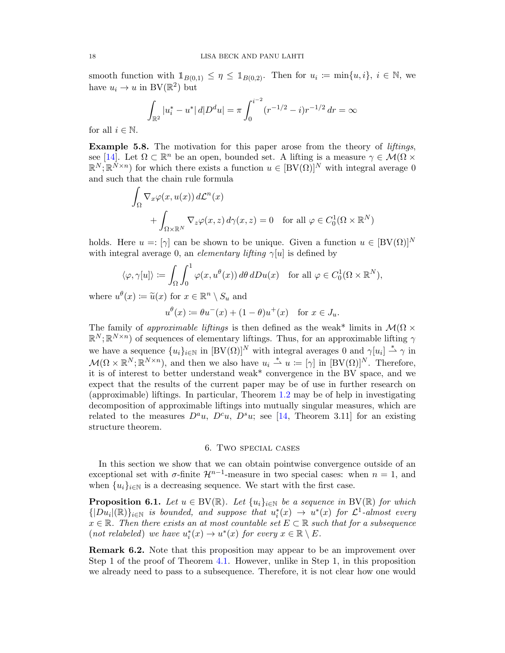<span id="page-17-1"></span>smooth function with  $\mathbb{1}_{B(0,1)} \leq \eta \leq \mathbb{1}_{B(0,2)}$ . Then for  $u_i := \min\{u, i\}, i \in \mathbb{N}$ , we have  $u_i \to u$  in BV( $\mathbb{R}^2$ ) but

$$
\int_{\mathbb{R}^2} |u_i^* - u^*| \, d|D^d u| = \pi \int_0^{i^{-2}} (r^{-1/2} - i) r^{-1/2} \, dr = \infty
$$

for all  $i \in \mathbb{N}$ .

Example 5.8. The motivation for this paper arose from the theory of *liftings*, see [\[14\]](#page-20-13). Let  $\Omega \subset \mathbb{R}^n$  be an open, bounded set. A lifting is a measure  $\gamma \in \mathcal{M}(\Omega)$  $\mathbb{R}^N;\mathbb{R}^{N\times n}$  for which there exists a function  $u\in\left[\mathrm{BV}(\Omega)\right]^N$  with integral average 0 and such that the chain rule formula

$$
\int_{\Omega} \nabla_x \varphi(x, u(x)) d\mathcal{L}^n(x)
$$
  
+ 
$$
\int_{\Omega \times \mathbb{R}^N} \nabla_z \varphi(x, z) d\gamma(x, z) = 0 \text{ for all } \varphi \in C_0^1(\Omega \times \mathbb{R}^N)
$$

holds. Here  $u =: [\gamma]$  can be shown to be unique. Given a function  $u \in [BV(\Omega)]^N$ with integral average 0, an *elementary lifting*  $\gamma[u]$  is defined by

$$
\langle \varphi, \gamma[u] \rangle \coloneqq \int_{\Omega} \int_0^1 \varphi(x, u^{\theta}(x)) d\theta dDu(x) \quad \text{for all } \varphi \in C_0^1(\Omega \times \mathbb{R}^N),
$$

where  $u^{\theta}(x) \coloneqq \tilde{u}(x)$  for  $x \in \mathbb{R}^n \setminus S_u$  and

$$
u^{\theta}(x) \coloneqq \theta u^{-}(x) + (1 - \theta)u^{+}(x) \quad \text{for } x \in J_{u}.
$$

The family of approximable liftings is then defined as the weak\* limits in  $\mathcal{M}(\Omega \times$  $\mathbb{R}^N; \mathbb{R}^{N \times n}$  of sequences of elementary liftings. Thus, for an approximable lifting  $\gamma$ we have a sequence  ${u_i}_{i \in \mathbb{N}}$  in  $[BV(\Omega)]^N$  with integral averages 0 and  $\gamma[u_i] \stackrel{*}{\rightharpoonup} \gamma$  in  $\mathcal{M}(\Omega \times \mathbb{R}^N; \mathbb{R}^{N \times n})$ , and then we also have  $u_i \stackrel{*}{\rightharpoonup} u := [\gamma]$  in  $[BV(\Omega)]^N$ . Therefore, it is of interest to better understand weak\* convergence in the BV space, and we expect that the results of the current paper may be of use in further research on (approximable) liftings. In particular, Theorem [1.2](#page-1-1) may be of help in investigating decomposition of approximable liftings into mutually singular measures, which are related to the measures  $D^a u$ ,  $D^c u$ ,  $D^s u$ ; see [\[14,](#page-20-13) Theorem 3.11] for an existing structure theorem.

## 6. Two special cases

<span id="page-17-0"></span>In this section we show that we can obtain pointwise convergence outside of an exceptional set with  $\sigma$ -finite  $\mathcal{H}^{n-1}$ -measure in two special cases: when  $n = 1$ , and when  $\{u_i\}_{i\in\mathbb{N}}$  is a decreasing sequence. We start with the first case.

**Proposition 6.1.** Let  $u \in BV(\mathbb{R})$ . Let  $\{u_i\}_{i \in \mathbb{N}}$  be a sequence in BV( $\mathbb{R}$ ) for which  $\{|Du_i|(\mathbb{R})\}_{i\in\mathbb{N}}$  is bounded, and suppose that  $u_i^*(x) \to u^*(x)$  for  $\mathcal{L}^1$ -almost every  $x \in \mathbb{R}$ . Then there exists an at most countable set  $E \subset \mathbb{R}$  such that for a subsequence (not relabeled) we have  $u_i^*(x) \to u^*(x)$  for every  $x \in \mathbb{R} \setminus E$ .

Remark 6.2. Note that this proposition may appear to be an improvement over Step 1 of the proof of Theorem [4.1.](#page-10-1) However, unlike in Step 1, in this proposition we already need to pass to a subsequence. Therefore, it is not clear how one would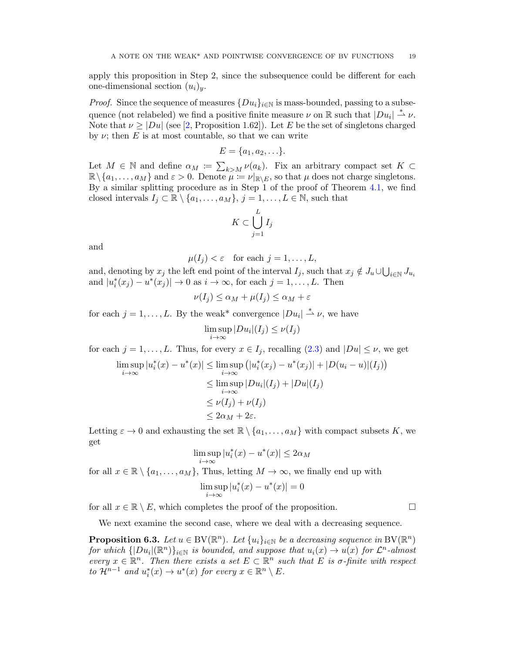<span id="page-18-0"></span>apply this proposition in Step 2, since the subsequence could be different for each one-dimensional section  $(u_i)_y$ .

*Proof.* Since the sequence of measures  $\{Du_i\}_{i\in\mathbb{N}}$  is mass-bounded, passing to a subsequence (not relabeled) we find a positive finite measure  $\nu$  on  $\mathbb R$  such that  $|Du_i| \stackrel{*}{\rightharpoonup} \nu$ . Note that  $\nu \geq |Du|$  (see [\[2,](#page-20-1) Proposition 1.62]). Let E be the set of singletons charged by  $\nu$ ; then E is at most countable, so that we can write

$$
E = \{a_1, a_2, \ldots\}.
$$

Let  $M \in \mathbb{N}$  and define  $\alpha_M := \sum_{k>M} \nu(a_k)$ . Fix an arbitrary compact set  $K \subset$  $\mathbb{R}\setminus\{a_1,\ldots,a_M\}$  and  $\varepsilon > 0$ . Denote  $\mu := \nu|_{\mathbb{R}\setminus E}$ , so that  $\mu$  does not charge singletons. By a similar splitting procedure as in Step 1 of the proof of Theorem [4.1,](#page-10-1) we find closed intervals  $I_j \subset \mathbb{R} \setminus \{a_1, \ldots, a_M\}, j = 1, \ldots, L \in \mathbb{N}$ , such that

$$
K\subset \bigcup_{j=1}^L I_j
$$

and

$$
\mu(I_j) < \varepsilon \quad \text{for each } j = 1, \dots, L,
$$

and, denoting by  $x_j$  the left end point of the interval  $I_j$ , such that  $x_j \notin J_u \cup \bigcup_{i \in \mathbb{N}} J_{u_i}$ and  $|u_i^*(x_j) - u^*(x_j)| \to 0$  as  $i \to \infty$ , for each  $j = 1, \ldots, L$ . Then

$$
\nu(I_j) \le \alpha_M + \mu(I_j) \le \alpha_M + \varepsilon
$$

for each  $j = 1, ..., L$ . By the weak<sup>\*</sup> convergence  $|Du_i| \stackrel{*}{\rightharpoonup} \nu$ , we have

$$
\limsup_{i \to \infty} |Du_i|(I_j) \le \nu(I_j)
$$

for each  $j = 1, ..., L$ . Thus, for every  $x \in I_j$ , recalling  $(2.3)$  and  $|Du| \leq \nu$ , we get

$$
\limsup_{i \to \infty} |u_i^*(x) - u^*(x)| \le \limsup_{i \to \infty} (|u_i^*(x_j) - u^*(x_j)| + |D(u_i - u)|(I_j))
$$
  
\n
$$
\le \limsup_{i \to \infty} |Du_i|(I_j) + |Du|(I_j)
$$
  
\n
$$
\le \nu(I_j) + \nu(I_j)
$$
  
\n
$$
\le 2\alpha_M + 2\varepsilon.
$$

Letting  $\varepsilon \to 0$  and exhausting the set  $\mathbb{R} \setminus \{a_1, \ldots, a_M\}$  with compact subsets K, we get

$$
\limsup_{i \to \infty} |u_i^*(x) - u^*(x)| \le 2\alpha_M
$$

for all  $x \in \mathbb{R} \setminus \{a_1, \ldots, a_M\}$ , Thus, letting  $M \to \infty$ , we finally end up with

$$
\limsup_{i \to \infty} |u_i^*(x) - u^*(x)| = 0
$$

for all  $x \in \mathbb{R} \setminus E$ , which completes the proof of the proposition.

We next examine the second case, where we deal with a decreasing sequence.

**Proposition 6.3.** Let  $u \in BV(\mathbb{R}^n)$ . Let  $\{u_i\}_{i \in \mathbb{N}}$  be a decreasing sequence in  $BV(\mathbb{R}^n)$ for which  $\{ |Du_i|(\mathbb{R}^n)\}_{i\in\mathbb{N}}$  is bounded, and suppose that  $u_i(x) \to u(x)$  for  $\mathcal{L}^n$ -almost every  $x \in \mathbb{R}^n$ . Then there exists a set  $E \subset \mathbb{R}^n$  such that E is  $\sigma$ -finite with respect to  $\mathcal{H}^{n-1}$  and  $u_i^*(x) \to u^*(x)$  for every  $x \in \mathbb{R}^n \setminus E$ .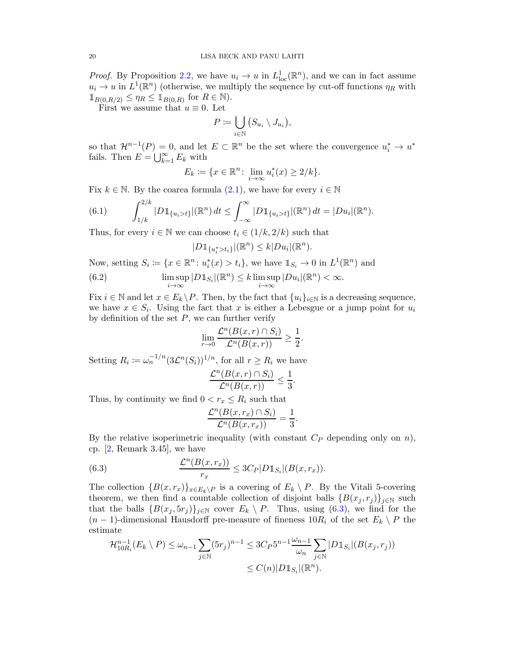<span id="page-19-2"></span>*Proof.* By Proposition [2.2,](#page-4-0) we have  $u_i \to u$  in  $L^1_{loc}(\mathbb{R}^n)$ , and we can in fact assume  $u_i \to u$  in  $L^1(\mathbb{R}^n)$  (otherwise, we multiply the sequence by cut-off functions  $\eta_R$  with  $\mathbb{1}_{B(0,R/2)} \leq \eta_R \leq \mathbb{1}_{B(0,R)}$  for  $R \in \mathbb{N}$ .

First we assume that  $u \equiv 0$ . Let

$$
P := \bigcup_{i \in \mathbb{N}} \big( S_{u_i} \setminus J_{u_i} \big),
$$

so that  $\mathcal{H}^{n-1}(P) = 0$ , and let  $E \subset \mathbb{R}^n$  be the set where the convergence  $u_i^* \to u^*$ fails. Then  $E = \bigcup_{k=1}^{\infty} E_k$  with

$$
E_k := \{ x \in \mathbb{R}^n \colon \lim_{i \to \infty} u_i^*(x) \ge 2/k \}.
$$

Fix  $k \in \mathbb{N}$ . By the coarea formula  $(2.1)$ , we have for every  $i \in \mathbb{N}$ 

(6.1) 
$$
\int_{1/k}^{2/k} |D1_{\{u_i > t\}}|(\mathbb{R}^n) dt \leq \int_{-\infty}^{\infty} |D1_{\{u_i > t\}}|(\mathbb{R}^n) dt = |Du_i|(\mathbb{R}^n).
$$

Thus, for every  $i \in \mathbb{N}$  we can choose  $t_i \in (1/k, 2/k)$  such that

<span id="page-19-1"></span>
$$
|D1\!\!1_{\{u_i^*>t_i\}}|(\mathbb{R}^n)\leq k|Du_i|(\mathbb{R}^n).
$$

Now, setting  $S_i \coloneqq \{x \in \mathbb{R}^n : u_i^*(x) > t_i\}$ , we have  $\mathbb{1}_{S_i} \to 0$  in  $L^1(\mathbb{R}^n)$  and

(6.2) 
$$
\limsup_{i \to \infty} |D1_{S_i}|(\mathbb{R}^n) \le k \limsup_{i \to \infty} |Du_i|(\mathbb{R}^n) < \infty.
$$

Fix  $i \in \mathbb{N}$  and let  $x \in E_k \backslash P$ . Then, by the fact that  $\{u_i\}_{i \in \mathbb{N}}$  is a decreasing sequence, we have  $x \in S_i$ . Using the fact that x is either a Lebesgue or a jump point for  $u_i$ by definition of the set  $P$ , we can further verify

$$
\lim_{r \to 0} \frac{\mathcal{L}^n(B(x,r) \cap S_i)}{\mathcal{L}^n(B(x,r))} \ge \frac{1}{2}.
$$

Setting  $R_i := \omega_n^{-1/n} (3\mathcal{L}^n(S_i))^{1/n}$ , for all  $r \ge R_i$  we have

$$
\frac{\mathcal{L}^n(B(x,r)\cap S_i)}{\mathcal{L}^n(B(x,r))}\leq \frac{1}{3}.
$$

Thus, by continuity we find  $0 < r_x \leq R_i$  such that

<span id="page-19-0"></span>
$$
\frac{\mathcal{L}^n(B(x,r_x)\cap S_i)}{\mathcal{L}^n(B(x,r_x))}=\frac{1}{3}.
$$

By the relative isoperimetric inequality (with constant  $C_P$  depending only on n), cp. [\[2,](#page-20-1) Remark 3.45], we have

(6.3) 
$$
\frac{\mathcal{L}^n(B(x,r_x))}{r_x} \leq 3C_P|D1\!\!1_{S_i}|(B(x,r_x)).
$$

The collection  ${B(x, r_x)}_{x \in E_k \backslash P}$  is a covering of  $E_k \backslash P$ . By the Vitali 5-covering theorem, we then find a countable collection of disjoint balls  ${B(x_j, r_j)}_{j \in N}$  such that the balls  $\{B(x_j, 5r_j)\}_{j\in\mathbb{N}}$  cover  $E_k \setminus P$ . Thus, using [\(6.3\)](#page-19-0), we find for the  $(n-1)$ -dimensional Hausdorff pre-measure of fineness  $10R_i$  of the set  $E_k \setminus P$  the estimate

$$
\mathcal{H}_{10R_i}^{n-1}(E_k \setminus P) \le \omega_{n-1} \sum_{j \in \mathbb{N}} (5r_j)^{n-1} \le 3C_P 5^{n-1} \frac{\omega_{n-1}}{\omega_n} \sum_{j \in \mathbb{N}} |D1\!\mathbb{1}} S_i|(B(x_j, r_j))
$$
  

$$
\le C(n)|D1\mathbb{1}_{S_i}|(\mathbb{R}^n).
$$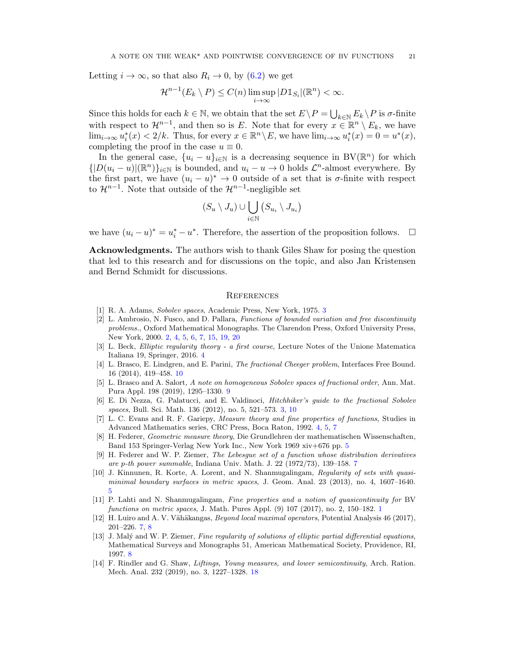Letting  $i \to \infty$ , so that also  $R_i \to 0$ , by  $(6.2)$  we get

$$
\mathcal{H}^{n-1}(E_k \setminus P) \le C(n) \limsup_{i \to \infty} |D1\!\!1_{S_i}|(\mathbb{R}^n) < \infty.
$$

Since this holds for each  $k \in \mathbb{N}$ , we obtain that the set  $E \setminus P = \bigcup_{k \in \mathbb{N}} E_k \setminus P$  is  $\sigma$ -finite with respect to  $\mathcal{H}^{n-1}$ , and then so is E. Note that for every  $x \in \mathbb{R}^n \setminus E_k$ , we have  $\lim_{i\to\infty} u_i^*(x) < 2/k$ . Thus, for every  $x \in \mathbb{R}^n \setminus E$ , we have  $\lim_{i\to\infty} u_i^*(x) = 0 = u^*(x)$ , completing the proof in the case  $u \equiv 0$ .

In the general case,  $\{u_i - u\}_{i \in \mathbb{N}}$  is a decreasing sequence in BV( $\mathbb{R}^n$ ) for which  $\{|D(u_i - u)|(\mathbb{R}^n)\}_{i \in \mathbb{N}}$  is bounded, and  $u_i - u \to 0$  holds  $\mathcal{L}^n$ -almost everywhere. By the first part, we have  $(u_i - u)^* \to 0$  outside of a set that is  $\sigma$ -finite with respect to  $\mathcal{H}^{n-1}$ . Note that outside of the  $\mathcal{H}^{n-1}$ -negligible set

$$
(S_u \setminus J_u) \cup \bigcup_{i \in \mathbb{N}} (S_{u_i} \setminus J_{u_i})
$$

we have  $(u_i - u)^* = u_i^* - u^*$ . Therefore, the assertion of the proposition follows.  $\Box$ 

Acknowledgments. The authors wish to thank Giles Shaw for posing the question that led to this research and for discussions on the topic, and also Jan Kristensen and Bernd Schmidt for discussions.

### **REFERENCES**

- <span id="page-20-2"></span><span id="page-20-1"></span>[1] R. A. Adams, Sobolev spaces, Academic Press, New York, 1975. [3](#page-2-0)
- [2] L. Ambrosio, N. Fusco, and D. Pallara, Functions of bounded variation and free discontinuity problems., Oxford Mathematical Monographs. The Clarendon Press, Oxford University Press, New York, 2000. [2,](#page-1-2) [4,](#page-3-1) [5,](#page-4-2) [6,](#page-5-0) [7,](#page-6-6) [15,](#page-14-1) [19,](#page-18-0) [20](#page-19-2)
- <span id="page-20-5"></span>[3] L. Beck, Elliptic regularity theory - a first course, Lecture Notes of the Unione Matematica Italiana 19, Springer, 2016. [4](#page-3-1)
- <span id="page-20-12"></span>[4] L. Brasco, E. Lindgren, and E. Parini, The fractional Cheeger problem, Interfaces Free Bound. 16 (2014), 419–458. [10](#page-9-0)
- <span id="page-20-11"></span>[5] L. Brasco and A. Salort, A note on homogeneous Sobolev spaces of fractional order, Ann. Mat. Pura Appl. 198 (2019), 1295–1330. [9](#page-8-3)
- <span id="page-20-3"></span>[6] E. Di Nezza, G. Palatucci, and E. Valdinoci, Hitchhiker's guide to the fractional Sobolev spaces, Bull. Sci. Math. 136 (2012), no. 5, 521–573. [3,](#page-2-0) [10](#page-9-0)
- <span id="page-20-4"></span>[7] L. C. Evans and R. F. Gariepy, Measure theory and fine properties of functions, Studies in Advanced Mathematics series, CRC Press, Boca Raton, 1992. [4,](#page-3-1) [5,](#page-4-2) [7](#page-6-6)
- <span id="page-20-6"></span>[8] H. Federer, Geometric measure theory, Die Grundlehren der mathematischen Wissenschaften, Band 153 Springer-Verlag New York Inc., New York 1969 xiv+676 pp. [5](#page-4-2)
- <span id="page-20-9"></span>[9] H. Federer and W. P. Ziemer, The Lebesgue set of a function whose distribution derivatives are p-th power summable, Indiana Univ. Math. J. 22 (1972/73), 139–158. [7](#page-6-6)
- <span id="page-20-7"></span>[10] J. Kinnunen, R. Korte, A. Lorent, and N. Shanmugalingam, Regularity of sets with quasiminimal boundary surfaces in metric spaces, J. Geom. Anal. 23 (2013), no. 4, 1607–1640. [5](#page-4-2)
- <span id="page-20-0"></span>[11] P. Lahti and N. Shanmugalingam, Fine properties and a notion of quasicontinuity for BV functions on metric spaces, J. Math. Pures Appl. (9) 107 (2017), no. 2, 150–182. [1](#page-0-1)
- <span id="page-20-8"></span>[12] H. Luiro and A. V. Vähäkangas, *Beyond local maximal operators*, Potential Analysis 46 (2017), 201–226. [7,](#page-6-6) [8](#page-7-2)
- <span id="page-20-10"></span>[13] J. Malý and W. P. Ziemer, Fine regularity of solutions of elliptic partial differential equations, Mathematical Surveys and Monographs 51, American Mathematical Society, Providence, RI, 1997. [8](#page-7-2)
- <span id="page-20-13"></span>[14] F. Rindler and G. Shaw, Liftings, Young measures, and lower semicontinuity, Arch. Ration. Mech. Anal. 232 (2019), no. 3, 1227–1328. [18](#page-17-1)